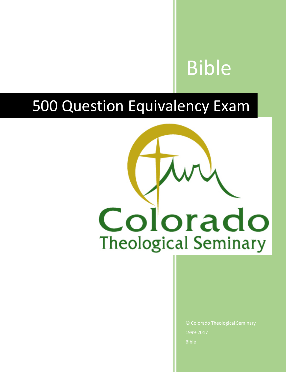# Bible

## 500 Question Equivalency Exam



1999-2017 Bible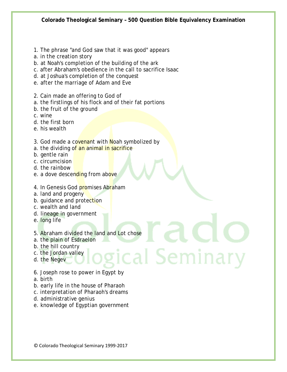- 1. The phrase "and God saw that it was good" appears
- a. in the creation story
- b. at Noah's completion of the building of the ark
- c. after Abraham's obedience in the call to sacrifice Isaac
- d. at Joshua's completion of the conquest
- e. after the marriage of Adam and Eve
- 2. Cain made an offering to God of
- a. the firstlings of his flock and of their fat portions
- b. the fruit of the ground
- c. wine
- d. the first born
- e. his wealth
- 3. God made a covenant with Noah symbolized by
- a. the dividing of an animal in sacrifice
- b. gentle rain
- c. circumcision
- d. the rainbow
- e. a dove descending from above
- 4. In Genesis God promises Abraham
- a. land and progeny
- b. guidance and protection
- c. wealth and land
- d. lineage in government
- e. long life
- 5. Abraham divided the land and Lot chose
- a. the plain of Esdraelon
- b. the hill country
- c. the Jordan valley
- d. the Negev
- c. the Jordan valley<br>d. the Negev<br>6. Joseph rose to power in Egypt by
- a. birth
- b. early life in the house of Pharaoh
- c. interpretation of Pharaoh's dreams
- d. administrative genius
- e. knowledge of Egyptian government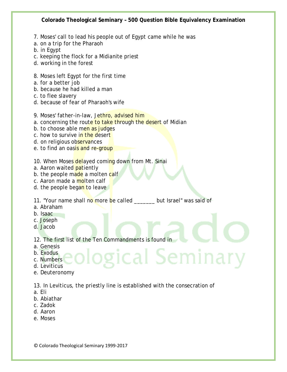- 7. Moses' call to lead his people out of Egypt came while he was
- a. on a trip for the Pharaoh
- b. in Egypt
- c. keeping the flock for a Midianite priest
- d. working in the forest
- 8. Moses left Egypt for the first time
- a. for a better job
- b. because he had killed a man
- c. to flee slavery
- d. because of fear of Pharaoh's wife
- 9. Moses' father-in-law, Jethro, advised him
- a. concerning the route to take through the desert of Midian
- b. to choose able men as judges
- c. how to survive in the desert
- d. on religious observances
- e. to find an oasis and re-group
- 10. When Moses delayed coming down from Mt. Sinai
- a. Aaron waited patiently
- b. the people made a molten calf
- c. Aaron made a molten calf
- d. the people began to leave
- 11. "Your name shall no more be called \_\_\_\_\_\_ but Israel" was said of
- a. Abraham
- b. Isaac
- c. Joseph
- d. Jacob
- 12. The first list of the Ten Commandments is found in
- a. Genesis
- b. Exodus
- c. Numbers
- d. Leviticus
- e. Deuteronomy

13. In Leviticus, the priestly line is established with the consecration of

gical Seminary

- a. Eli
- b. Abiathar
- c. Zadok
- d. Aaron
- e. Moses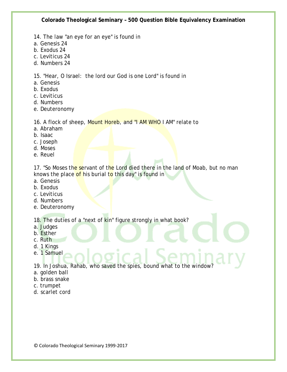- 14. The law "an eye for an eye" is found in
- a. Genesis 24
- b. Exodus 24
- c. Leviticus 24
- d. Numbers 24

15. "Hear, O Israel: the lord our God is one Lord" is found in

- a. Genesis
- b. Exodus
- c. Leviticus
- d. Numbers
- e. Deuteronomy

16. A flock of sheep, Mount Horeb, and "I AM WHO I AM" relate to

- a. Abraham
- b. Isaac
- c. Joseph
- d. Moses
- e. Reuel

17. "So Moses the servant of the Lord died there in the land of Moab, but no man knows the place of his burial to this day" is found in

- a. Genesis
- b. Exodus
- c. Leviticus
- d. Numbers
- e. Deuteronomy

18. The duties of a "next of kin" figure strongly in what book?

- a. Judges
- b. Esther
- c. Ruth
- d. 1 Kings
- e. 1 Samuel

19. In Joshua, Rahab, who saved the spies, bound what to the window?

- a. golden ball
- b. brass snake
- c. trumpet
- d. scarlet cord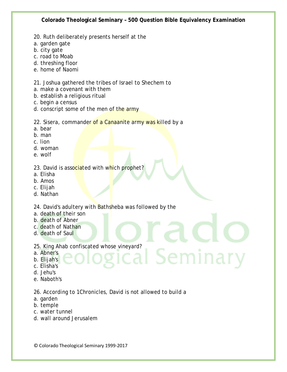- 20. Ruth deliberately presents herself at the
- a. garden gate
- b. city gate
- c. road to Moab
- d. threshing floor
- e. home of Naomi

#### 21. Joshua gathered the tribes of Israel to Shechem to

- a. make a covenant with them
- b. establish a religious ritual
- c. begin a census
- d. conscript some of the men of the army

#### 22. Sisera, commander of a Canaanite army was killed by a

- a. bear
- b. man
- c. lion
- d. woman
- e. wolf

#### 23. David is associated with which prophet?

- a. Elisha
- b. Amos
- c. Elijah
- d. Nathan

### 24. David's adultery with Bathsheba was followed by the

- a. death of their son
- b. death of Abner
- c. death of Nathan
- d. death of Saul
- 25. King Ahab confiscated whose vineyard?<br>a. Abner's<br>c. Elijah's<br>d. Isb. .
- a. Abner's
- b. Elijah's
- c. Elisha's
- d. Jehu's
- e. Naboth's

#### 26. According to 1Chronicles, David is not allowed to build a

- a. garden
- b. temple
- c. water tunnel
- d. wall around Jerusalem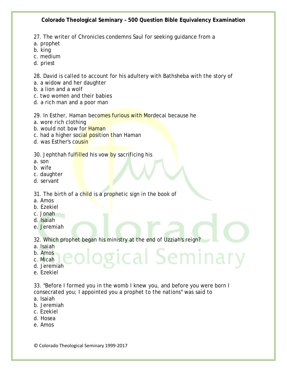27. The writer of Chronicles condemns Saul for seeking guidance from a

- a. prophet
- b. king
- c. medium
- d. priest

28. David is called to account for his adultery with Bathsheba with the story of

- a. a widow and her daughter
- b. a lion and a wolf
- c. two women and their babies
- d. a rich man and a poor man

29. In Esther, Haman becomes furious with Mordecai because he

- a. wore rich clothing
- b. would not bow for Haman
- c. had a higher social position than Haman
- d. was Esther's cousin

30. Jephthah fulfilled his vow by sacrificing his

- a. son
- b. wife
- c. daughter
- d. servant
- 31. The birth of a child is a prophetic sign in the book of
- a. Amos
- b. Ezekiel
- c. Jonah
- d. Isaiah
- e. Jeremiah

32. Which prophet began his ministry at the end of Uzziah's reign?

- a. Isaiah
- b. Amos
- c. Micah
- d. Jeremiah
- e. Ezekiel

33. "Before I formed you in the womb I knew you, and before you were born I consecrated you; I appointed you a prophet to the nations" was said to

gical Seminary

- a. Isaiah
- b. Jeremiah
- c. Ezekiel
- d. Hosea
- e. Amos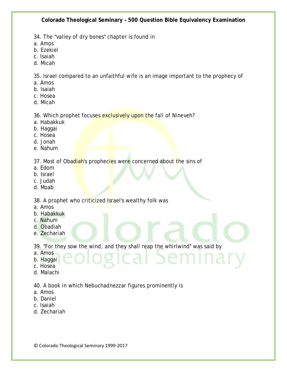34. The "valley of dry bones" chapter is found in

- a. Amos
- b. Ezekiel
- c. Isaiah
- d. Micah

35. Israel compared to an unfaithful wife is an image important to the prophecy of

- a. Amos
- b. Isaiah
- c. Hosea
- d. Micah

#### 36. Which prophet focuses exclusively upon the fall of Nineveh?

- a. Habakkuk
- b. Haggai
- c. Hosea
- d. Jonah
- e. Nahum

37. Most of Obadiah's prophecies were concerned about the sins of

- a. Edom
- b. Israel
- c. Judah
- d. Moab

38. A prophet who criticized Israel's wealthy folk was

- a. Amos
- b. Habakkuk
- c. Nahum
- d. Obadiah
- e. Zechariah

39. "For they sow the wind, and they shall reap the whirlwind" was said by

- a. Amos
- b. Haggai
- c. Hosea
- d. Malachi

40. A book in which Nebuchadnezzar figures prominently is

- a. Amos
- b. Daniel
- c. Isaiah
- d. Zechariah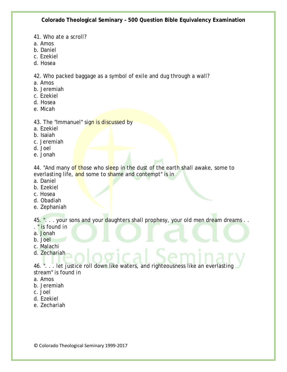- 41. Who ate a scroll?
- a. Amos
- b. Daniel
- c. Ezekiel
- d. Hosea

42. Who packed baggage as a symbol of exile and dug through a wall?

- a. Amos
- b. Jeremiah
- c. Ezekiel
- d. Hosea
- e. Micah
- 43. The "Immanuel" sign is discussed by
- a. Ezekiel
- b. Isaiah
- c. Jeremiah
- d. Joel
- e. Jonah

44. "And many of those who sleep in the dust of the earth shall awake, some to everlasting life, and some to shame and contempt" is in

- a. Daniel
- b. Ezekiel
- c. Hosea
- d. Obadiah
- e. Zephaniah

45. ". . . your sons and your daughters shall prophesy, your old men dream dreams . .

- . " is found in
- a. Jonah
- b. Joel
- c. Malachi
- d. Zechariah

46. ". . . let justice roll down like waters, and righteousness like an everlasting stream" is found in

- a. Amos
- b. Jeremiah
- c. Joel
- d. Ezekiel
- e. Zechariah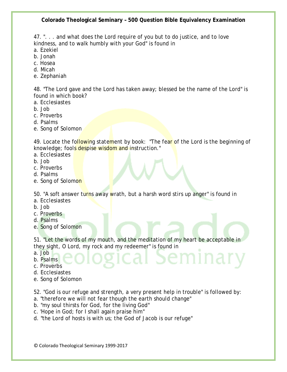47. ". . . and what does the Lord require of you but to do justice, and to love kindness, and to walk humbly with your God" is found in

- a. Ezekiel
- b. Jonah
- c. Hosea
- d. Micah
- e. Zephaniah

48. "The Lord gave and the Lord has taken away; blessed be the name of the Lord" is found in which book?

- a. Ecclesiastes
- b. Job
- c. Proverbs
- d. Psalms
- e. Song of Solomon

49. Locate the following statement by book: "The fear of the Lord is the beginning of knowledge; fools despise wisdom and instruction."

- a. Ecclesiastes
- b. Job
- c. Proverbs
- d. Psalms
- e. Song of Solomon

50. "A soft answer turns away wrath, but a harsh word stirs up anger" is found in a. Ecclesiastes

- b. Job
- c. Proverbs
- d. Psalms
- e. Song of Solomon

51. "Let the words of my mouth, and the meditation of my heart be acceptable in they sight, O Lord, my rock and my redeemer" is found in

- a. Job
- b. Psalms
- c. Proverbs
- d. Ecclesiastes
- e. Song of Solomon

52. "God is our refuge and strength, a very present help in trouble" is followed by:

- a. "therefore we will not fear though the earth should change"
- b. "my soul thirsts for God, for the living God"
- c. 'Hope in God; for I shall again praise him"
- d. "the Lord of hosts is with us; the God of Jacob is our refuge"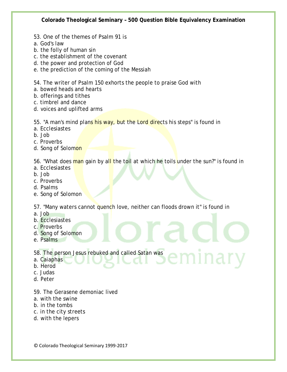- 53. One of the themes of Psalm 91 is
- a. God's law
- b. the folly of human sin
- c. the establishment of the covenant
- d. the power and protection of God
- e. the prediction of the coming of the Messiah

54. The writer of Psalm 150 exhorts the people to praise God with

- a. bowed heads and hearts
- b. offerings and tithes
- c. timbrel and dance
- d. voices and uplifted arms

55. "A man's mind plans his way, but the Lord directs his steps" is found in

- a. Ecclesiastes
- b. Job
- c. Proverbs
- d. Song of Solomon

56. "What does man gain by all the toil at which he toils under the sun?" is found in

- a. Ecclesiastes
- b. Job
- c. Proverbs
- d. Psalms
- e. Song of Solomon

57. "Many waters cannot quench love, neither can floods drown it" is found in

- a. Job
- b. Ecclesiastes
- c. Proverbs
- d. Song of Solomon
- e. Psalms
- 58. The person Jesus rebuked and called Satan was
- a. Caiaphas
- b. Herod
- c. Judas
- d. Peter
- 59. The Gerasene demoniac lived
- a. with the swine
- b. in the tombs
- c. in the city streets
- d. with the lepers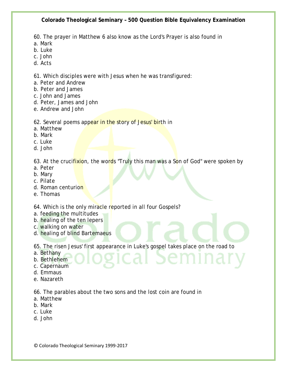60. The prayer in Matthew 6 also know as the Lord's Prayer is also found in

- a. Mark
- b. Luke
- c. John
- d. Acts

61. Which disciples were with Jesus when he was transfigured:

- a. Peter and Andrew
- b. Peter and James
- c. John and James
- d. Peter, James and John
- e. Andrew and John

#### 62. Several poems appear in the story of Jesus' birth in

- a. Matthew
- b. Mark
- c. Luke
- d. John

63. At the crucifixion, the words "Truly this man was a Son of God" were spoken by

- a. Peter
- b. Mary
- c. Pilate
- d. Roman centurion
- e. Thomas

64. Which is the only miracle reported in all four Gospels?

- a. feeding the multitudes
- b. healing of the ten lepers
- c. walking on water
- d. healing of blind Bartemaeus

65. The risen Jesus' first appearance in Luke's gospel takes place on the road to

- a. Bethany
- b. Bethlehem
- c. Capernaum
- d. Emmaus
- e. Nazareth

66. The parables about the two sons and the lost coin are found in

- a. Matthew
- b. Mark
- c. Luke
- d. John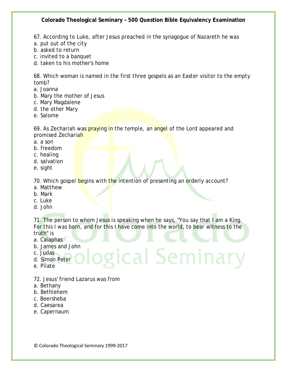67. According to Luke, after Jesus preached in the synagogue of Nazareth he was

- a. put out of the city
- b. asked to return
- c. invited to a banquet
- d. taken to his mother's home

68. Which woman is named in the first three gospels as an Easter visitor to the empty tomb?

- a. Joanna
- b. Mary the mother of Jesus
- c. Mary Magdalene
- d. the other Mary
- e. Salome

69. As Zechariah was praying in the temple, an angel of the Lord appeared and promised Zechariah

- a. a son
- b. freedom
- c. healing
- d. salvation
- e. sight

70. Which gospel begins with the intention of presenting an orderly account?

- a. Matthew
- b. Mark
- c. Luke
- d. John

71. The person to whom Jesus is speaking when he says, "You say that I am a King. For this I was born, and for this I have come into the world, to bear witness to the truth" is

ical Seminary

- a. Caiaphas
- b. James and John
- c. Judas
- d. Simon Peter
- e. Pilate
- 72. Jesus' friend Lazarus was from
- a. Bethany
- b. Bethlehem
- c. Beersheba
- d. Caesarea
- e. Capernaum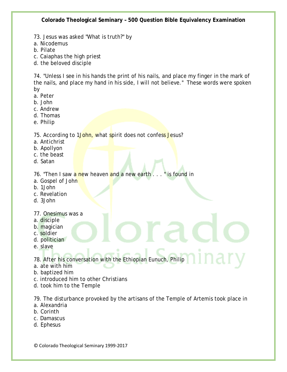73. Jesus was asked "What is truth?" by

a. Nicodemus

- b. Pilate
- c. Caiaphas the high priest
- d. the beloved disciple

74. "Unless I see in his hands the print of his nails, and place my finger in the mark of the nails, and place my hand in his side, I will not believe." These words were spoken by

- a. Peter
- b. John
- c. Andrew
- d. Thomas
- e. Philip

75. According to 1John, what spirit does not confess Jesus?

- a. Antichrist
- b. Apollyon
- c. the beast
- d. Satan

76. "Then I saw a new heaven and a new earth..." is found in

- a. Gospel of John
- b. 1John
- c. Revelation
- d. 3John
- 77. Onesimus was a
- a. disciple
- b. magician
- c. soldier
- d. politician
- e. slave

78. After his conversation with the Ethiopian Eunuch, Philip

- a. ate with him
- b. baptized him
- c. introduced him to other Christians
- d. took him to the Temple

79. The disturbance provoked by the artisans of the Temple of Artemis took place in

- a. Alexandria
- b. Corinth
- c. Damascus
- d. Ephesus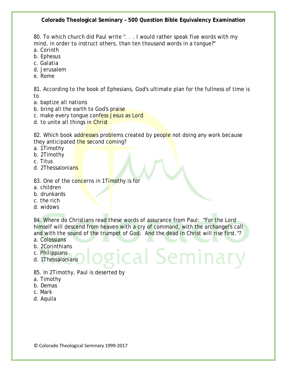80. To which church did Paul write ". . . I would rather speak five words with my mind, in order to instruct others, than ten thousand words in a tongue?"

- a. Corinth
- b. Ephesus
- c. Galatia
- d. Jerusalem
- e. Rome

81. According to the book of Ephesians, God's ultimate plan for the fullness of time is to

- a. baptize all nations
- b. bring all the earth to God's praise
- c. make every tonque confess Jesus as Lord
- d. to unite all things in Christ

82. Which book addresses problems created by people not doing any work because they anticipated the second coming?

- a. 1Timothy
- b. 2Timothy
- c. Titus
- d. 2Thessalonians

#### 83. One of the concerns in 1Timothy is for

- a. children
- b. drunkards
- c. the rich
- d. widows

84. Where do Christians read these words of assurance from Paul: "For the Lord himself will descend from heaven with a cry of command, with the archangel's call and with the sound of the trumpet of God. And the dead in Christ will rise first."?

gical Semina

- a. Colossians
- b. 2Corinthians
- c. Philippians
- d. 1Thessalonians

85. In 2Timothy, Paul is deserted by

- a. Timothy
- b. Demas
- c. Mark
- d. Aquila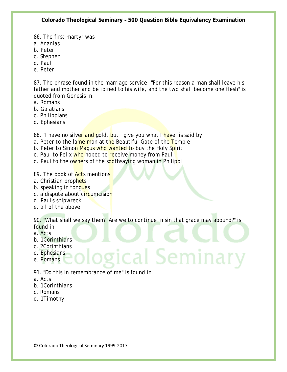86. The first martyr was

- a. Ananias
- b. Peter
- c. Stephen
- d. Paul
- e. Peter

87. The phrase found in the marriage service, "For this reason a man shall leave his father and mother and be joined to his wife, and the two shall become one flesh" is quoted from Genesis in:

- a. Romans
- b. Galatians
- c. Philippians
- d. Ephesians

88. "I have no silver and gold, but I give you what I have" is said by

- a. Peter to the lame man at the Beautiful Gate of the Temple
- b. Peter to Simon Magus who wanted to buy the Holy Spirit
- c. Paul to Felix who hoped to receive money from Paul
- d. Paul to the owners of the soothsaying woman in Philippi

89. The book of **Act**s mentions

- a. Christian prophets
- b. speaking in tongues
- c. a dispute about circumcision
- d. Paul's shipwreck
- e. all of the above

90. "What shall we say then? Are we to continue in sin that grace may abound?" is found in

ical Seminar

- a. Acts
- b. 1Corinthians
- c. 2Corinthians
- d. Ephesians
- e. Romans
- 91. "Do this in remembrance of me" is found in
- a. Acts
- b. 1Corinthians
- c. Romans
- d. 1Timothy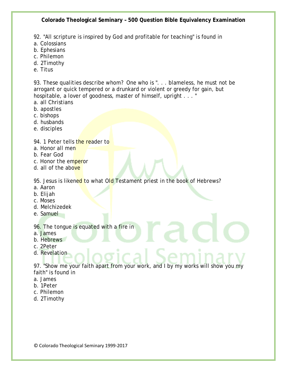92. "All scripture is inspired by God and profitable for teaching" is found in

- a. Colossians
- b. Ephesians
- c. Philemon
- d. 2Timothy
- e. Titus

93. These qualities describe whom? One who is ". . . blameless, he must not be arrogant or quick tempered or a drunkard or violent or greedy for gain, but hospitable, a lover of goodness, master of himself, upright . . . "

- a. all Christians
- b. apostles
- c. bishops
- d. husbands
- e. disciples

94. 1 Peter tells the reader to

- a. Honor all men
- b. Fear God
- c. Honor the emperor
- d. all of the above

95. Jesus is likened to what Old Testament priest in the book of Hebrews?

- a. Aaron
- b. Elijah
- c. Moses
- d. Melchizedek
- e. Samuel

96. The tongue is equated with a fire in

- a. James
- b. Hebrews
- c. 2Peter
- d. Revelation

97. "Show me your faith apart from your work, and I by my works will show you my faith" is found in

- a. James
- b. 1Peter
- c. Philemon
- d. 2Timothy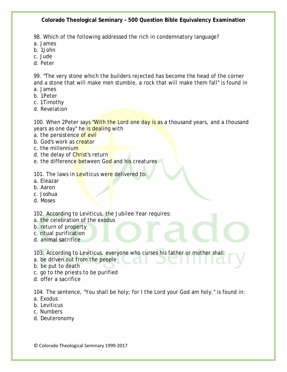98. Which of the following addressed the rich in condemnatory language?

- a. James
- b. 1John
- c. Jude
- d. Peter

99. "The very stone which the builders rejected has become the head of the corner and a stone that will make men stumble, a rock that will make them fall" is found in a. James

- b. 1Peter
- c. 1Timothy
- d. Revelation

100. When 2Peter says "With the Lord one day is as a thousand years, and a thousand years as one day" he is dealing with

- a. the persistence of evil
- b. God's work as **creator**
- c. the millennium
- d. the delay of Christ's return
- e. the difference between God and his creatures

101. The laws in Leviticus were delivered to:

- a. Eleazar
- b. Aaron
- c. Joshua
- d. Moses

102. According to Leviticus, the Jubilee Year requires:

- a. the celebration of the exodus
- b. return of property
- c. ritual purification
- d. animal sacrifice

103. According to Leviticus, everyone who curses his father or mother shall:

- a. be driven out from the people
- b. be put to death
- c. go to the priests to be purified
- d. offer a sacrifice

104. The sentence, "You shall be holy; for I the Lord your God am holy." is found in:

- a. Exodus
- b. Leviticus
- c. Numbers
- d. Deuteronomy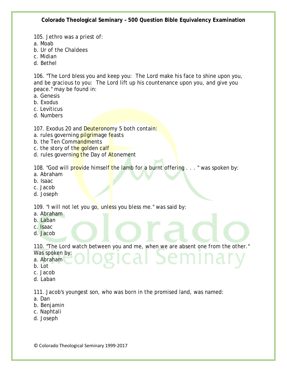105. Jethro was a priest of:

a. Moab

- b. Ur of the Chaldees
- c. Midian
- d. Bethel

106. "The Lord bless you and keep you: The Lord make his face to shine upon you, and be gracious to you: The Lord lift up his countenance upon you, and give you peace." may be found in:

- a. Genesis
- b. Exodus
- c. Leviticus
- d. Numbers

107. Exodus 20 and Deuteronomy 5 both contain:

- a. rules governing *pilgrimage* feasts
- b. the Ten Commandments
- c. the story of the golden calf
- d. rules governing the Day of Atonement

108. "God will provide himself the lamb for a burnt offering . . . " was spoken by:

- a. Abraham
- b. Isaac
- c. Jacob
- d. Joseph

109. "I will not let you go, unless you bless me." was said by:

- a. Abraham
- b. Laban
- c. Isaac
- d. Jacob

110. "The Lord watch between you and me, when we are absent one from the other."

- Was spoken by: a. Abraham
- 
- b. Lot
- c. Jacob
- d. Laban

111. Jacob's youngest son, who was born in the promised land, was named:

- a. Dan
- b. Benjamin
- c. Naphtali
- d. Joseph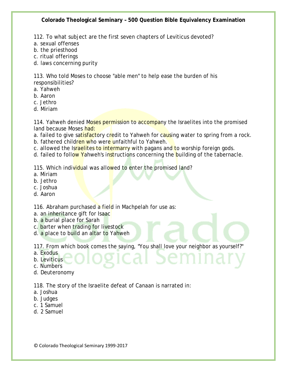112. To what subject are the first seven chapters of Leviticus devoted?

- a. sexual offenses
- b. the priesthood
- c. ritual offerings
- d. laws concerning purity

113. Who told Moses to choose "able men" to help ease the burden of his responsibilities?

- a. Yahweh
- b. Aaron
- c. Jethro
- d. Miriam

114. Yahweh denied Moses permission to accompany the Israelites into the promised land because Moses had:

a. failed to give satisfactory credit to Yahweh for causing water to spring from a rock.

- b. fathered children who were unfaithful to Yahweh.
- c. allowed the Israelites to intermarry with pagans and to worship foreign gods.
- d. failed to follow Yahweh's instructions concerning the building of the tabernacle.

115. Which individual was allowed to enter the promised land?

- a. Miriam
- b. Jethro
- c. Joshua
- d. Aaron

116. Abraham purchased a field in Machpelah for use as:

- a. an inheritance gift for Isaac
- b. a burial place for Sarah
- c. barter when trading for livestock
- d. a place to build an altar to Yahweh

117. From which book comes the saying, "You shall love your neighbor as yourself?"

a. Exodus

b. Leviticus

c. Numbers

d. Deuteronomy

118. The story of the Israelite defeat of Canaan is narrated in:

- a. Joshua
- b. Judges
- c. 1 Samuel
- d. 2 Samuel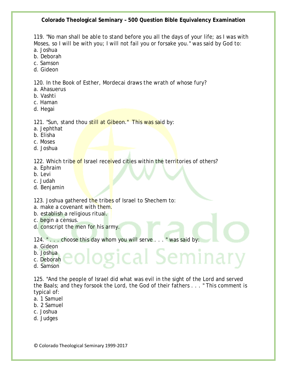119. "No man shall be able to stand before you all the days of your life; as I was with Moses, so I will be with you; I will not fail you or forsake you." was said by God to:

- a. Joshua
- b. Deborah
- c. Samson
- d. Gideon

120. In the Book of Esther, Mordecai draws the wrath of whose fury?

- a. Ahasuerus
- b. Vashti
- c. Haman
- d. Hegai

121. "Sun, stand thou still at Gibeon." This was said by:

- a. Jephthat
- b. Elisha
- c. Moses
- d. Joshua

122. Which tribe of Israel received cities within the territories of others?

- a. Ephraim
- b. Levi
- c. Judah
- d. Benjamin

123. Joshua gathered the tribes of Israel to Shechem to:

- a. make a covenant with them.
- b. establish a religious ritual.
- c. begin a census.
- d. conscript the men for his army.

124. " . . . choose this day whom you will serve . . . " was said by:

- a. Gideon
- b. Joshua
- c. Deborah
- d. Samson

125. "And the people of Israel did what was evil in the sight of the Lord and served the Baals; and they forsook the Lord, the God of their fathers . . . " This comment is typical of:

ical Seminar

- a. 1 Samuel
- b. 2 Samuel
- c. Joshua
- d. Judges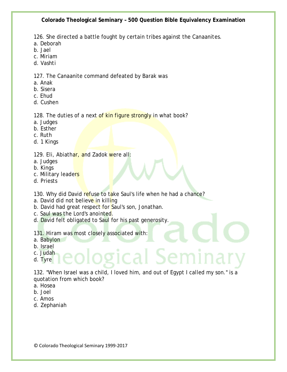126. She directed a battle fought by certain tribes against the Canaanites.

- a. Deborah
- b. Jael
- c. Miriam
- d. Vashti

127. The Canaanite command defeated by Barak was

- a. Anak
- b. Sisera
- c. Ehud
- d. Cushen

#### 128. The duties of a next of kin figure strongly in what book?

- a. Judges
- b. Esther
- c. Ruth
- d. 1 Kings

129. Eli, Abiathar, and Zadok were all:

- a. Judges
- b. Kings
- c. Military leaders
- d. Priests

130. Why did David refuse to take Saul's life when he had a chance?

- a. David did not believe in killing
- b. David had great respect for Saul's son, Jonathan.
- c. Saul was the Lord's anointed.
- d. David felt obligated to Saul for his past generosity.

131. Hiram was most closely associated with:

- a. Babylon
- b. Israel
- c. Judah
- d. Tyre

132. "When Israel was a child, I loved him, and out of Egypt I called my son." is a quotation from which book?

ical Ser

- a. Hosea
- b. Joel
- c. Amos
- d. Zephaniah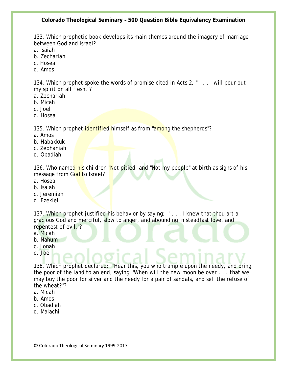133. Which prophetic book develops its main themes around the imagery of marriage between God and Israel?

- a. Isaiah
- b. Zechariah
- c. Hosea
- d. Amos

134. Which prophet spoke the words of promise cited in Acts 2, " . . . I will pour out my spirit on all flesh."?

- a. Zechariah
- b. Micah
- c. Joel
- d. Hosea

135. Which prophet identified himself as from "among the shepherds"?

- a. Amos
- b. Habakkuk
- c. Zephaniah
- d. Obadiah

136. Who named his children "Not pitied" and "Not my people" at birth as signs of his message from God to Israel?

- a. Hosea
- b. Isaiah
- c. Jeremiah
- d. Ezekiel

137. Which prophet justified his behavior by saying: " . . . I knew that thou art a gracious God and merciful, slow to anger, and abounding in steadfast love, and repentest of evil."?

- a. Micah
- b. Nahum
- c. Jonah
- d. Joel

138. Which prophet declared: "Hear this, you who trample upon the needy, and bring the poor of the land to an end, saying, 'When will the new moon be over . . . that we may buy the poor for silver and the needy for a pair of sandals, and sell the refuse of the wheat?'"?

- a. Micah
- b. Amos
- c. Obadiah
- d. Malachi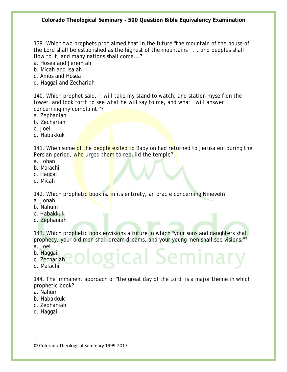139. Which two prophets proclaimed that in the future "the mountain of the house of the Lord shall be established as the highest of the mountains . . . and peoples shall flow to it, and many nations shall come...?

a. Hosea and Jeremiah

b. Micah and Isaiah

- c. Amos and Hosea
- d. Haggai and Zechariah

140. Which prophet said, "I will take my stand to watch, and station myself on the tower, and look forth to see what he will say to me, and what I will answer concerning my complaint."?

- a. Zephaniah
- b. Zechariah
- c. Joel
- d. Habakkuk

141. When some of the people exiled to Babylon had returned to Jerusalem during the Persian period, who urged them to rebuild the temple?

- a. Johan
- b. Malachi
- c. Haggai
- d. Micah

142. Which prophetic book is, in its entirety, an oracle concerning Nineveh?

- a. Jonah
- b. Nahum
- c. Habakkuk
- d. Zephaniah

143. Which prophetic book envisions a future in which "your sons and daughters shall prophecy, your old men shall dream dreams, and your young men shall see visions."? a. Joel

gical Semina

- b. Haggai
- c. Zechariah
- d. Malachi

144. The immanent approach of "the great day of the Lord" is a major theme in which prophetic book?

- a. Nahum
- b. Habakkuk
- c. Zephaniah
- d. Haggai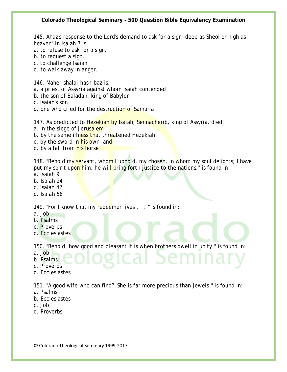145. Ahaz's response to the Lord's demand to ask for a sign "deep as Sheol or high as heaven" in Isaiah 7 is:

- a. to refuse to ask for a sign.
- b. to request a sign.
- c. to challenge Isaiah.
- d. to walk away in anger.

146. Maher-shalal-hash-baz is:

- a. a priest of Assyria against whom Isaiah contended
- b. the son of Baladan, king of Babylon
- c. Isaiah's son
- d. one who cried for the destruction of Samaria

147. As predicted to Hezekiah by Isaiah, Sennacherib, king of Assyria, died:

- a. in the siege of Jerusalem
- b. by the same illness that threatened Hezekiah
- c. by the sword in his own land
- d. by a fall from his horse

148. "Behold my servant, whom I uphold, my chosen, in whom my soul delights; I have put my spirit upon him, he will bring forth justice to the nations." is found in:

- a. Isaiah 9
- b. Isaiah 24
- c. Isaiah 42
- d. Isaiah 56

149. "For I know that my redeemer lives . . . " is found in:

- a. Job
- b. Psalms
- c. Proverbs
- d. Ecclesiastes

150. "Behold, how good and pleasant it is when brothers dwell in unity!" is found in:

- a. Job
- b. Psalms
- c. Proverbs
- d. Ecclesiastes

151. "A good wife who can find? She is far more precious than jewels." is found in:

- a. Psalms
- b. Ecclesiastes
- c. Job
- d. Proverbs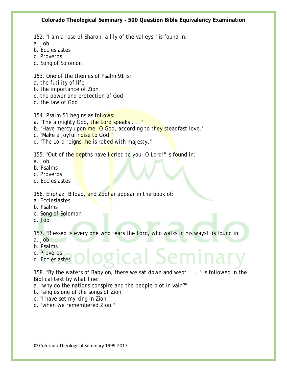152. "I am a rose of Sharon, a lily of the valleys." is found in:

a. Job

- b. Ecclesiastes
- c. Proverbs
- d. Song of Solomon

153. One of the themes of Psalm 91 is:

- a. the futility of life
- b. the importance of Zion
- c. the power and protection of God
- d. the law of God

154. Psalm 51 begins as follows:

- a. "The almighty God, the Lord speaks . . ."
- b. "Have mercy upon me, O God, according to they steadfast love."
- c. "Make a joyful noise to God."
- d. "The Lord reigns, he is robed with majesty."

155. "Out of the depths have I cried to you, O Lord!" is found in:

- a. Job
- b. Psalms
- c. Proverbs
- d. Ecclesiastes

156. Eliphaz, Bildad, and Zophar appear in the book of:

- a. Ecclesiastes
- b. Psalms
- c. Song of Solomon
- d. Job

157. "Blessed is every one who fears the Lord, who walks in his ways!" is found in:

- a. Job
- b. Psalms
- c. Proverbs
- d. Ecclesiastes

158. "By the waters of Babylon, there we sat down and wept . . . " is followed in the Biblical text by what line:

zical Semi

- a. "why do the nations conspire and the people plot in vain?"
- b. "sing us one of the songs of Zion."
- c. "I have set my king in Zion."
- d. "when we remembered Zion."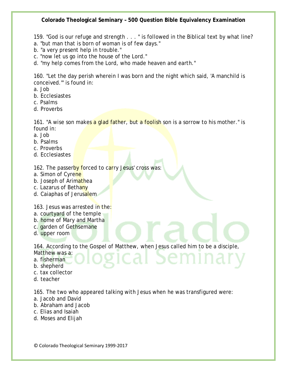159. "God is our refuge and strength . . . " is followed in the Biblical text by what line?

- a. "but man that is born of woman is of few days."
- b. "a very present help in trouble."
- c. "now let us go into the house of the Lord."
- d. "my help comes from the Lord, who made heaven and earth."

160. "Let the day perish wherein I was born and the night which said, 'A manchild is conceived.'" is found in:

- a. Job
- b. Ecclesiastes
- c. Psalms
- d. Proverbs

161. "A wise son makes a glad father, but a foolish son is a sorrow to his mother." is found in:

- a. Job
- b. Psalms
- c. Proverbs
- d. Ecclesiastes

162. The passerby forced to carry Jesus' cross was:

- a. Simon of Cyrene
- b. Joseph of Arimathea
- c. Lazarus of Bethany
- d. Caiaphas of Jerusalem

163. Jesus was arrested in the:

- a. courtyard of the temple
- b. home of Mary and Martha
- c. garden of Gethsemane
- d. upper room

164. According to the Gospel of Matthew, when Jesus called him to be a disciple,

- Matthew was a:
- a. fisherman
- b. shepherd
- c. tax collector
- d. teacher

165. The two who appeared talking with Jesus when he was transfigured were:

- a. Jacob and David
- b. Abraham and Jacob
- c. Elias and Isaiah
- d. Moses and Elijah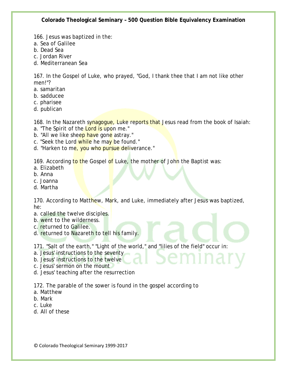166. Jesus was baptized in the:

- a. Sea of Galilee
- b. Dead Sea
- c. Jordan River
- d. Mediterranean Sea

167. In the Gospel of Luke, who prayed, "God, I thank thee that I am not like other men!"?

- a. samaritan
- b. sadducee
- c. pharisee
- d. publican

168. In the Nazareth synagogue, Luke reports that Jesus read from the book of Isaiah:

- a. "The Spirit of the Lord is upon me."
- b. "All we like sheep have gone astray."
- c. "Seek the Lord while he may be found."
- d. "Harken to me, you who pursue deliverance."

169. According to the Gospel of Luke, the mother of John the Baptist was:

- a. Elizabeth
- b. Anna
- c. Joanna
- d. Martha

170. According to Matthew, Mark, and Luke, immediately after Jesus was baptized, he:

- a. called the twelve disciples.
- b. went to the wilderness.
- c. returned to Galilee.
- d. returned to Nazareth to tell his family.

171. "Salt of the earth," "Light of the world," and "lilies of the field" occur in:

- a. Jesus' instructions to the seventy
- b. Jesus' instructions to the twelve
- c. Jesus' sermon on the mount
- d. Jesus' teaching after the resurrection

172. The parable of the sower is found in the gospel according to

- a. Matthew
- b. Mark
- c. Luke
- d. All of these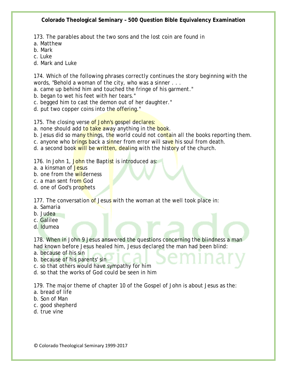173. The parables about the two sons and the lost coin are found in

a. Matthew

b. Mark

c. Luke

d. Mark and Luke

174. Which of the following phrases correctly continues the story beginning with the words, "Behold a woman of the city, who was a sinner . . .

a. came up behind him and touched the fringe of his garment."

- b. began to wet his feet with her tears."
- c. begged him to cast the demon out of her daughter."
- d. put two copper coins into the offering."

175. The closing verse of John's gospel declares:

- a. none should add to take away anything in the book.
- b. Jesus did so many things, the world could not contain all the books reporting them.
- c. anyone who brings back a sinner from error will save his soul from death.
- d. a second book will be written, dealing with the history of the church.

176. In John 1, John the Baptist is introduced as:

- a. a kinsman of Jesus
- b. one from the wilderness
- c. a man sent from God
- d. one of God's prophets

177. The conversation of Jesus with the woman at the well took place in:

- a. Samaria
- b. Judea
- c. Galilee
- d. Idumea

178. When in John 9 Jesus answered the questions concerning the blindness a man had known before Jesus healed him, Jesus declared the man had been blind:

- a. because of his sin
- b. because of his parents' sin
- c. so that others would have sympathy for him
- d. so that the works of God could be seen in him

179. The major theme of chapter 10 of the Gospel of John is about Jesus as the:

- a. bread of life
- b. Son of Man
- c. good shepherd
- d. true vine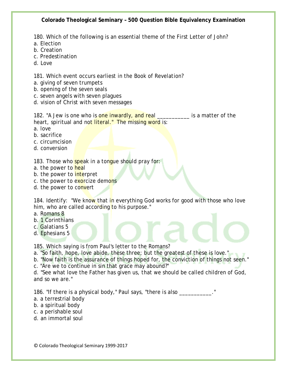180. Which of the following is an essential theme of the First Letter of John?

- a. Election
- b. Creation
- c. Predestination
- d. Love

181. Which event occurs earliest in the Book of Revelation?

- a. giving of seven trumpets
- b. opening of the seven seals
- c. seven angels with seven plagues
- d. vision of Christ with seven messages

182. "A Jew is one who is one inwardly, and real \_\_\_\_\_\_\_\_\_\_ is a matter of the heart, spiritual and not literal." The missing word is:

- a. love
- b. sacrifice
- c. circumcision
- d. conversion

183. Those who speak in a tongue should pray for:

- a. the power to heal
- b. the power to *interpret*
- c. the power to exorcize demons
- d. the power to convert

184. Identify: "We know that in everything God works for good with those who love him, who are called according to his purpose."

- a. Romans 8
- b. 1 Corinthians
- c. Galatians 5
- d. Ephesians 5

185. Which saying is from Paul's letter to the Romans?

a. "So faith, hope, love abide, these three; but the greatest of these is love."

- b. "Now faith is the assurance of things hoped for, the conviction of things not seen."
- c. "Are we to continue in sin that grace may abound?"

d. "See what love the Father has given us, that we should be called children of God, and so we are."

186. "If there is a physical body," Paul says, "there is also \_\_\_\_\_\_\_\_\_\_\_."

- a. a terrestrial body
- b. a spiritual body
- c. a perishable soul
- d. an immortal soul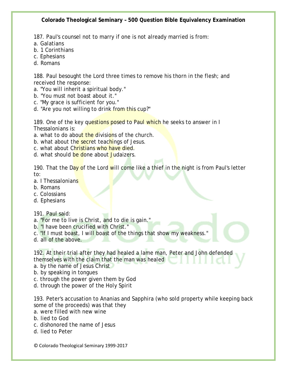187. Paul's counsel not to marry if one is not already married is from:

- a. Galatians
- b. 1 Corinthians
- c. Ephesians
- d. Romans

188. Paul besought the Lord three times to remove his thorn in the flesh; and received the response:

- a. "You will inherit a spiritual body."
- b. "You must not boast about it."
- c. "My grace is sufficient for you."
- d. "Are you not willing to drink from this cup?"

189. One of the key questions posed to Paul which he seeks to answer in I Thessalonians is:

- a. what to do about the divisions of the church.
- b. what about the secret teachings of Jesus.
- c. what about Christians who have died.
- d. what should be done about Judaizers.

190. That the Day of the Lord will come like a thief in the night is from Paul's letter to:

- a. I Thessalonians
- b. Romans
- c. Colossians
- d. Ephesians

191. Paul said:

- a. "For me to live is Christ, and to die is gain."
- b. "I have been crucified with Christ."
- c. "If I must boast, I will boast of the things that show my weakness."
- d. all of the above.

192. At their trial after they had healed a lame man, Peter and John defended themselves with the claim that the man was healed

- a. by the name of Jesus Christ
- b. by speaking in tongues
- c. through the power given them by God
- d. through the power of the Holy Spirit

193. Peter's accusation to Ananias and Sapphira (who sold property while keeping back some of the proceeds) was that they

- a. were filled with new wine
- b. lied to God
- c. dishonored the name of Jesus
- d. lied to Peter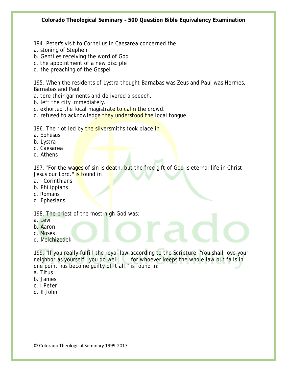- 194. Peter's visit to Cornelius in Caesarea concerned the
- a. stoning of Stephen
- b. Gentiles receiving the word of God
- c. the appointment of a new disciple
- d. the preaching of the Gospel

195. When the residents of Lystra thought Barnabas was Zeus and Paul was Hermes, Barnabas and Paul

- a. tore their garments and delivered a speech.
- b. left the city immediately.
- c. exhorted the local magistrate to calm the crowd.
- d. refused to acknowledge they understood the local tongue.

196. The riot led by the silversmiths took place in

- a. Ephesus
- b. Lystra
- c. Caesarea
- d. Athens

197. "For the wages of sin is death, but the free gift of God is eternal life in Christ Jesus our Lord." **is found in** 

- a. I Corinthians
- b. Philippians
- c. Romans
- d. Ephesians

198. The priest of the most high God was:

- a. Levi
- b. Aaron
- c. Moses
- d. Melchizedek

199. "If you really fulfill the royal law according to the Scripture, 'You shall love your neighbor as yourself,' you do well . . . for whoever keeps the whole law but fails in one point has become guilty of it all." is found in:

- a. Titus
- b. James
- c. I Peter
- d. II John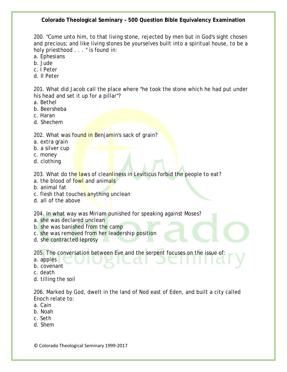200. "Come unto him, to that living stone, rejected by men but in God's sight chosen and precious; and like living stones be yourselves built into a spiritual house, to be a holy priesthood . . . " is found in:

a. Ephesians

- b. Jude
- c. I Peter
- d. II Peter

201. What did Jacob call the place where "he took the stone which he had put under his head and set it up for a pillar"?

- a. Bethel
- b. Beersheba
- c. Haran
- d. Shechem

202. What was found in Benjamin's sack of grain?

- a. extra grain
- b. a silver cup
- c. money
- d. clothing

203. What do the laws of cleanliness in Leviticus forbid the people to eat?

- a. the blood of fowl and animals
- b. animal fat
- c. flesh that touches anything unclean
- d. all of the above

204. In what way was Miriam punished for speaking against Moses?

- a. she was declared unclean
- b. she was banished from the camp
- c. she was removed from her leadership position
- d. she contracted leprosy

205. The conversation between Eve and the serpent focuses on the issue of:

- a. apples
- b. covenant
- c. death
- d. tilling the soil

206. Marked by God, dwelt in the land of Nod east of Eden, and built a city called Enoch relate to:

- a. Cain
- b. Noah
- c. Seth
- d. Shem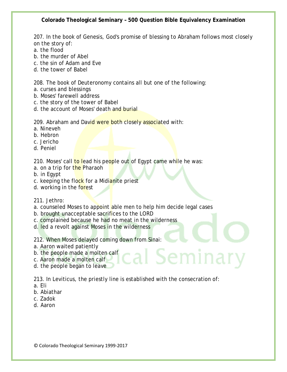207. In the book of Genesis, God's promise of blessing to Abraham follows most closely on the story of:

- a. the flood
- b. the murder of Abel
- c. the sin of Adam and Eve
- d. the tower of Babel

208. The book of Deuteronomy contains all but one of the following:

- a. curses and blessings
- b. Moses' farewell address
- c. the story of the tower of Babel
- d. the account of Moses' death and burial

209. Abraham and David were both closely associated with:

- a. Nineveh
- b. Hebron
- c. Jericho
- d. Peniel

210. Moses' call to lead his people out of Egypt came while he was:

- a. on a trip for the Pharaoh
- b. in Egypt
- c. keeping the flock for a Midianite priest
- d. working in the forest
- 211. Jethro:
- a. counseled Moses to appoint able men to help him decide legal cases
- b. brought unacceptable sacrifices to the LORD
- c. complained because he had no meat in the wilderness
- d. led a revolt against Moses in the wilderness

212. When Moses delayed coming down from Sinai:

- a. Aaron waited patiently
- b. the people made a molten calf
- c. Aaron made a molten calf
- d. the people began to leave

213. In Leviticus, the priestly line is established with the consecration of:

cal Seminary

- a. Eli
- b. Abiathar
- c. Zadok
- d. Aaron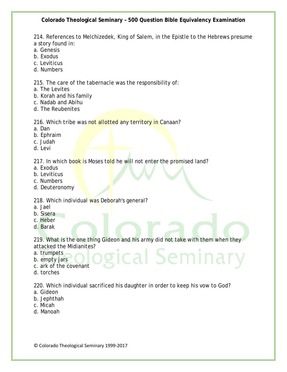214. References to Melchizedek, King of Salem, in the Epistle to the Hebrews presume a story found in:

- a. Genesis
- b. Exodus
- c. Leviticus
- d. Numbers

215. The care of the tabernacle was the responsibility of:

- a. The Levites
- b. Korah and his family
- c. Nadab and Abihu
- d. The Reubenites

216. Which tribe was not allotted any territory in Canaan?

- a. Dan
- b. Ephraim
- c. Judah
- d. Levi

217. In which book is Moses told he will not enter the promised land?

- a. Exodus
- b. Leviticus
- c. Numbers
- d. Deuteronomy

218. Which individual was Deborah's general?

- a. Jael
- b. Sisera
- c. Heber
- d. Barak

219. What is the one thing Gideon and his army did not take with them when they attacked the Midianites? cal Semina

- a. trumpets
- b. empty jars
- c. ark of the covenant
- d. torches

220. Which individual sacrificed his daughter in order to keep his vow to God?

- a. Gideon
- b. Jephthah
- c. Micah
- d. Manoah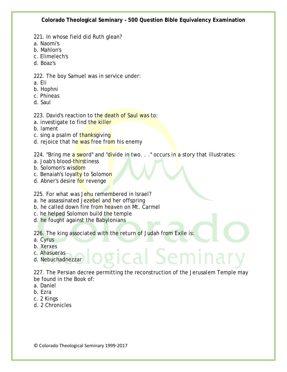- 221. In whose field did Ruth glean?
- a. Naomi's
- b. Mahlon's
- c. Elimelech's
- d. Boaz's

222. The boy Samuel was in service under:

- a. Eli
- b. Hophni
- c. Phineas
- d. Saul

223. David's reaction to the death of Saul was to:

- a. investigate to find the killer
- b. lament
- c. sing a psalm of thanksgiving
- d. rejoice that he was free from his enemy

224. "Bring me a sword" and "divide in two.  $\ldots$ " occurs in a story that illustrates:

- a. Joab's blood-thirstiness
- b. Solomon's wisdom
- c. Benaiah's loyalty to Solomon
- d. Abner's desire for revenge

225. For what was Jehu remembered in Israel?

- a. he assassinated Jezebel and her offspring
- b. he called down fire from heaven on Mt. Carmel
- c. he helped Solomon build the temple
- d. he fought against the Babylonians

226. The king associated with the return of Judah from Exile is:

- a. Cyrus
- b. Xerxes
- c. Ahasueras
- d. Nebuchadnezzar

227. The Persian decree permitting the reconstruction of the Jerusalem Temple may be found in the Book of:

र्ical Semi

- a. Daniel
- b. Ezra
- c. 2 Kings
- d. 2 Chronicles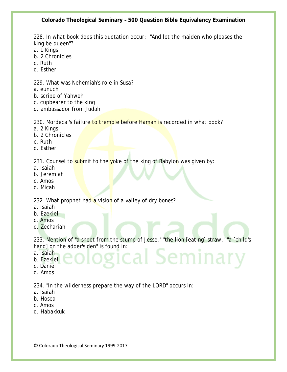228. In what book does this quotation occur: "And let the maiden who pleases the king be queen"?

- a. 1 Kings
- b. 2 Chronicles
- c. Ruth
- d. Esther

229. What was Nehemiah's role in Susa?

- a. eunuch
- b. scribe of Yahweh
- c. cupbearer to the king
- d. ambassador from Judah

230. Mordecai's failure to tremble before Haman is recorded in what book?

- a. 2 Kings
- b. 2 Chronicles
- c. Ruth
- d. Esther

231. Counsel to submit to the yoke of the king of Babylon was given by:

- a. Isaiah
- b. Jeremiah
- c. Amos
- d. Micah

232. What prophet had a vision of a valley of dry bones?

- a. Isaiah
- b. Ezekiel
- c. Amos
- d. Zechariah

233. Mention of "a shoot from the stump of Jesse," "the lion [eating] straw," "a [child's hand] on the adder's den" is found in: il Seminai

- a. Isaiah
- b. Ezekiel
- c. Daniel
- d. Amos

234. "In the wilderness prepare the way of the LORD" occurs in:

- a. Isaiah
- b. Hosea
- c. Amos
- d. Habakkuk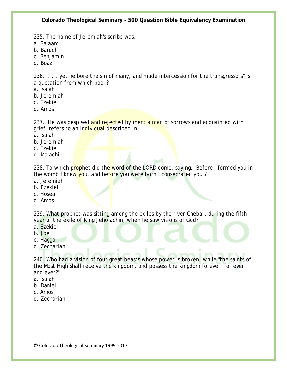235. The name of Jeremiah's scribe was:

a. Balaam

- b. Baruch
- c. Benjamin
- d. Boaz

236. ". . . yet he bore the sin of many, and made intercession for the transgressors" is a quotation from which book?

- a. Isaiah
- b. Jeremiah
- c. Ezekiel
- d. Amos

237. "He was despised and rejected by men; a man of sorrows and acquainted with grief" refers to an individual described in:

- a. Isaiah
- b. Jeremiah
- c. Ezekiel
- d. Malachi

238. To which prophet did the word of the LORD come, saying: "Before I formed you in the womb I knew you, and before you were born I consecrated you"?

- a. Jeremiah
- b. Ezekiel
- c. Hosea
- d. Amos

239. What prophet was sitting among the exiles by the river Chebar, during the fifth year of the exile of King Jehoiachin, when he saw visions of God?

- a. Ezekiel
- b. Joel
- c. Haggai
- d. Zechariah

240. Who had a vision of four great beasts whose power is broken, while "the saints of the Most High shall receive the kingdom, and possess the kingdom forever, for ever and ever?"

- a. Isaiah
- b. Daniel
- c. Amos
- d. Zechariah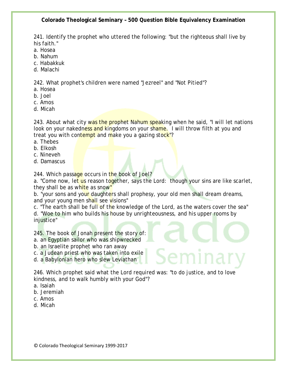241. Identify the prophet who uttered the following: "but the righteous shall live by his faith."

- a. Hosea
- b. Nahum
- c. Habakkuk
- d. Malachi

242. What prophet's children were named "Jezreel" and "Not Pitied"?

- a. Hosea
- b. Joel
- c. Amos
- d. Micah

243. About what city was the prophet Nahum speaking when he said, "I will let nations look on your nakedness and kingdoms on your shame. I will throw filth at you and treat you with contempt and make you a gazing stock"?

- a. Thebes
- b. Elkosh
- c. Nineveh
- d. Damascus

244. Which passage occurs in the book of Joel?

a. "Come now, let us reason together, says the Lord: though your sins are like scarlet, they shall be as white as snow"

b. "your sons and your daughters shall prophesy, your old men shall dream dreams, and your young men shall see visions"

c. "The earth shall be full of the knowledge of the Lord, as the waters cover the sea" d. "Woe to him who builds his house by unrighteousness, and his upper rooms by injustice"

245. The book of Jonah present the story of:

- a. an Egyptian sailor who was shipwrecked
- b. an Israelite prophet who ran away
- c. a Judean priest who was taken into exile
- d. a Babylonian hero who slew Leviathan

246. Which prophet said what the Lord required was: "to do justice, and to love kindness, and to walk humbly with your God"?

- a. Isaiah
- b. Jeremiah
- c. Amos
- d. Micah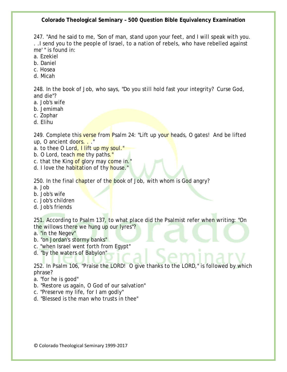247. "And he said to me, 'Son of man, stand upon your feet, and I will speak with you. . .I send you to the people of Israel, to a nation of rebels, who have rebelled against me' " is found in:

- a. Ezekiel
- b. Daniel
- c. Hosea
- d. Micah

248. In the book of Job, who says, "Do you still hold fast your integrity? Curse God, and die"?

- a. Job's wife
- b. Jemimah
- c. Zophar
- d. Elihu

249. Complete this verse from Psalm 24: "Lift up your heads, O gates! And be lifted up, O ancient doors. . ."

- a. to thee O Lord, I lift up my soul."
- b. O Lord, teach me thy paths."
- c. that the King of glory may come in."
- d. I love the habitation of thy house."

250. In the final chapter of the book of Job, with whom is God angry?

- a. Job
- b. Job's wife
- c. Job's children
- d. Job's friends

251. According to Psalm 137, to what place did the Psalmist refer when writing: "On the willows there we hung up our lyres"?

- a. "in the Negev"
- b. "on Jordan's stormy banks"
- c. "when Israel went forth from Egypt"
- d. "by the waters of Babylon"

252. In Psalm 106, "Praise the LORD! O give thanks to the LORD," is followed by which phrase?

- a. "for he is good"
- b. "Restore us again, O God of our salvation"
- c. "Preserve my life, for I am godly"
- d. "Blessed is the man who trusts in thee"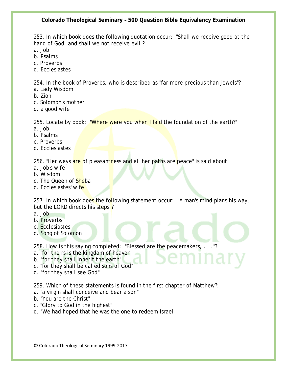253. In which book does the following quotation occur: "Shall we receive good at the hand of God, and shall we not receive evil"?

a. Job

- b. Psalms
- c. Proverbs
- d. Ecclesiastes

254. In the book of Proverbs, who is described as "far more precious than jewels"?

- a. Lady Wisdom
- b. Zion
- c. Solomon's mother
- d. a good wife

255. Locate by book: "Where were you when I laid the foundation of the earth?"

- a. Job
- b. Psalms
- c. Proverbs
- d. Ecclesiastes

256. "Her ways are of pleasantness and all her paths are peace" is said about:

- a. Job's wife
- b. Wisdom
- c. The Queen of Sheba
- d. Ecclesiastes' wife

257. In which book does the following statement occur: "A man's mind plans his way, but the LORD directs his steps"?

- a. Job
- b. Proverbs
- c. Ecclesiastes
- d. Song of Solomon

258. How is this saying completed: "Blessed are the peacemakers, . . ."?

- a. "for theirs is the kingdom of heaven'
- b. "for they shall inherit the earth"
- c. "for they shall be called sons of God"
- d. "for they shall see God"

259. Which of these statements is found in the first chapter of Matthew?:

- a. "a virgin shall conceive and bear a son"
- b. "You are the Christ"
- c. "Glory to God in the highest"
- d. "We had hoped that he was the one to redeem Israel"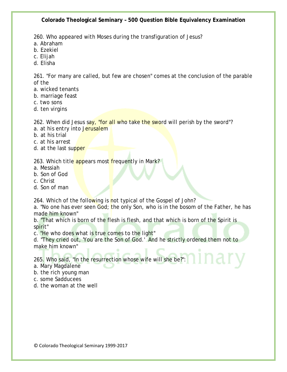260. Who appeared with Moses during the transfiguration of Jesus?

- a. Abraham
- b. Ezekiel
- c. Elijah
- d. Elisha

261. "For many are called, but few are chosen" comes at the conclusion of the parable of the

- a. wicked tenants
- b. marriage feast
- c. two sons
- d. ten virgins

262. When did Jesus say, "for all who take the sword will perish by the sword"?

- a. at his entry into Jerusalem
- b. at his trial
- c. at his arrest
- d. at the last supper

# 263. Which title appears most frequently in Mark?

- a. Messiah
- b. Son of God
- c. Christ
- d. Son of man

264. Which of the following is not typical of the Gospel of John?

a. "No one has ever seen God; the only Son, who is in the bosom of the Father, he has made him known"

b. "That which is born of the flesh is flesh, and that which is born of the Spirit is spirit"

c. "He who does what is true comes to the light"

d. "They cried out, 'You are the Son of God.' And he strictly ordered them not to make him known"

265. Who said, "In the resurrection whose wife will she be?":

- a. Mary Magdalene
- b. the rich young man
- c. some Sadducees
- d. the woman at the well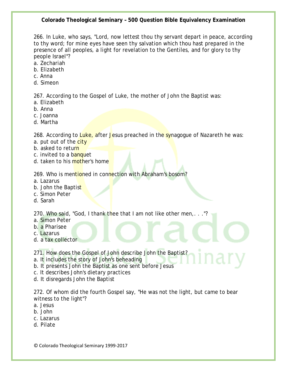266. In Luke, who says, "Lord, now lettest thou thy servant depart in peace, according to thy word; for mine eyes have seen thy salvation which thou hast prepared in the presence of all peoples, a light for revelation to the Gentiles, and for glory to thy people Israel"?

- a. Zechariah
- b. Elizabeth
- c. Anna
- d. Simeon

267. According to the Gospel of Luke, the mother of John the Baptist was:

- a. Elizabeth
- b. Anna
- c. Joanna
- d. Martha

268. According to Luke, after Jesus preached in the synagogue of Nazareth he was:

- a. put out of the city
- b. asked to return
- c. invited to a banquet
- d. taken to his mother's home

269. Who is mentioned in connection with Abraham's bosom?

- a. Lazarus
- b. John the Baptist
- c. Simon Peter
- d. Sarah

270. Who said, "God, I thank thee that I am not like other men,. . ."?

- a. Simon Peter
- b. a Pharisee
- c. Lazarus
- d. a tax collector

271. How does the Gospel of John describe John the Baptist?

- a. It includes the story of John's beheading
- b. It presents John the Baptist as one sent before Jesus
- c. It describes John's dietary practices
- d. It disregards John the Baptist

272. Of whom did the fourth Gospel say, "He was not the light, but came to bear witness to the light"?

- a. Jesus
- b. John
- c. Lazarus
- d. Pilate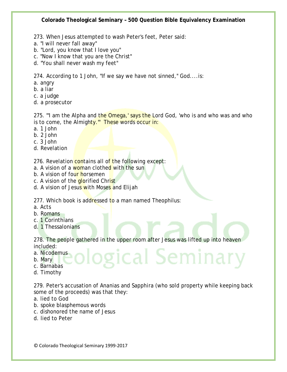- 273. When Jesus attempted to wash Peter's feet, Peter said:
- a. "I will never fall away"
- b. "Lord, you know that I love you"
- c. "Now I know that you are the Christ"
- d. "You shall never wash my feet"

274. According to 1 John, "If we say we have not sinned," God....is:

- a. angry
- b. a liar
- c. a judge
- d. a prosecutor

275. "I am the Alpha and the Omega,' says the Lord God, 'who is and who was and who is to come, the Almighty." These words occur in:

- a. 1 John
- b. 2 John
- c. 3 John
- d. Revelation

276. Revelation contains all of the following except:

- a. A vision of a woman clothed with the sun
- b. A vision of four horsemen
- c. A vision of the glorified Christ
- d. A vision of Jesus with Moses and Elijah

277. Which book is addressed to a man named Theophilus:

- a. Acts
- b. Romans
- c. 1 Corinthians
- d. 1 Thessalonians

278. The people gathered in the upper room after Jesus was lifted up into heaven included: gical Semina

- a. Nicodemus
- b. Mary
- c. Barnabas
- d. Timothy

279. Peter's accusation of Ananias and Sapphira (who sold property while keeping back some of the proceeds) was that they:

- a. lied to God
- b. spoke blasphemous words
- c. dishonored the name of Jesus
- d. lied to Peter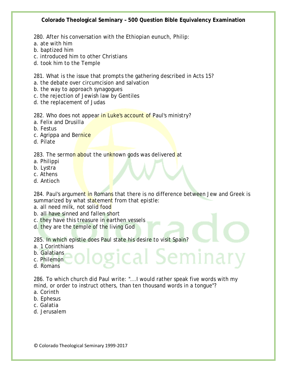280. After his conversation with the Ethiopian eunuch, Philip:

- a. ate with him
- b. baptized him
- c. introduced him to other Christians
- d. took him to the Temple

281. What is the issue that prompts the gathering described in Acts 15?

- a. the debate over circumcision and salvation
- b. the way to approach synagogues
- c. the rejection of Jewish law by Gentiles
- d. the replacement of Judas

282. Who does not appear in Luke's account of Paul's ministry?

- a. Felix and Drusilla
- b. Festus
- c. Agrippa and Bernice
- d. Pilate

283. The sermon about the unknown gods was delivered at

- a. Philippi
- b. Lystra
- c. Athens
- d. Antioch

284. Paul's argument in Romans that there is no difference between Jew and Greek is summarized by what statement from that epistle:

- a. all need milk, not solid food
- b. all have sinned and fallen short
- c. they have this treasure in earthen vessels
- d. they are the temple of the living God

285. In which epistle does Paul state his desire to visit Spain?

- a. 1 Corinthians
- b. Galatians
- c. Philemon
- d. Romans

286. To which church did Paul write: "...I would rather speak five words with my mind, or order to instruct others, than ten thousand words in a tongue"?

gical Seminar

- a. Corinth
- b. Ephesus
- c. Galatia
- d. Jerusalem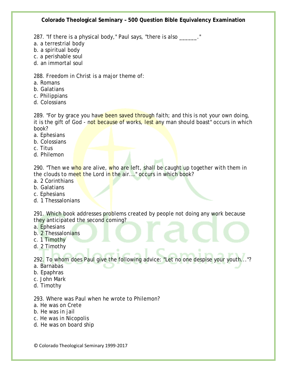287. "If there is a physical body," Paul says, "there is also \_\_\_\_\_\_."

- a. a terrestrial body
- b. a spiritual body
- c. a perishable soul
- d. an immortal soul

288. Freedom in Christ is a major theme of:

- a. Romans
- b. Galatians
- c. Philippians
- d. Colossians

289. "For by grace you have been saved through faith; and this is not your own doing, it is the gift of God - not because of works, lest any man should boast" occurs in which book?

- a. Ephesians
- b. Colossians
- c. Titus
- d. Philemon

290. "Then we who are alive, who are left, shall be caught up together with them in the clouds to meet the Lord in the air..." occurs in which book?

- a. 2 Corinthians
- b. Galatians
- c. Ephesians
- d. 1 Thessalonians

291. Which book addresses problems created by people not doing any work because they anticipated the second coming?

- a. Ephesians
- b. 2 Thessalonians
- c. 1 Timothy
- d. 2 Timothy

292. To whom does Paul give the following advice: "Let no one despise your youth..."?

- a. Barnabas
- b. Epaphras
- c. John Mark
- d. Timothy

293. Where was Paul when he wrote to Philemon?

- a. He was on Crete
- b. He was in jail
- c. He was in Nicopolis
- d. He was on board ship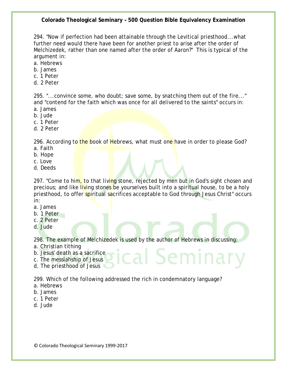294. "Now if perfection had been attainable through the Levitical priesthood...what further need would there have been for another priest to arise after the order of Melchizedek, rather than one named after the order of Aaron?" This is typical of the argument in:

- a. Hebrews
- b. James
- c. 1 Peter
- d. 2 Peter

295. "...convince some, who doubt; save some, by snatching them out of the fire..." and "contend for the faith which was once for all delivered to the saints" occurs in:

- a. James
- b. Jude
- c. 1 Peter
- d. 2 Peter

296. According to the book of Hebrews, what must one have in order to please God? a. Faith

- b. Hope
- c. Love
- d. Deeds

297. "Come to him, to that living stone, rejected by men but in God's sight chosen and precious; and like living stones be yourselves built into a spiritual house, to be a holy priesthood, to offer spiritual sacrifices acceptable to God through Jesus Christ" occurs in:

- a. James
- b. 1 Peter
- c. 2 Peter
- d. Jude

298. The example of Melchizedek is used by the author of Hebrews in discussing:

ical Semina

- a. Christian tithing
- b. Jesus' death as a sacrifice
- c. The messiahship of Jesus
- d. The priesthood of Jesus

299. Which of the following addressed the rich in condemnatory language?

- a. Hebrews
- b. James
- c. 1 Peter
- d. Jude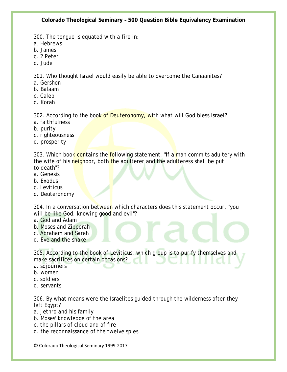300. The tongue is equated with a fire in:

- a. Hebrews
- b. James
- c. 2 Peter
- d. Jude

301. Who thought Israel would easily be able to overcome the Canaanites?

- a. Gershon
- b. Balaam
- c. Caleb
- d. Korah

302. According to the book of Deuteronomy, with what will God bless Israel?

- a. faithfulness
- b. purity
- c. righteousness
- d. prosperity

303. Which book contains the following statement, "If a man commits adultery with the wife of his neighbor, both the adulterer and the adulteress shall be put to death"?

- a. Genesis
- b. Exodus
- c. Leviticus
- d. Deuteronomy

304. In a conversation between which characters does this statement occur, "you will be like God, knowing good and evil"?

- a. God and Adam
- b. Moses and Zipporah
- c. Abraham and Sarah
- d. Eve and the snake

305. According to the book of Leviticus, which group is to purify themselves and make sacrifices on certain occasions?

- a. sojourners
- b. women
- c. soldiers
- d. servants

306. By what means were the Israelites guided through the wilderness after they left Egypt?

- a. Jethro and his family
- b. Moses' knowledge of the area
- c. the pillars of cloud and of fire
- d. the reconnaissance of the twelve spies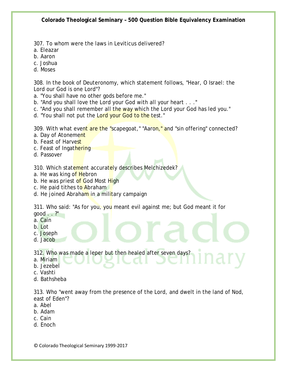307. To whom were the laws in Leviticus delivered?

- a. Eleazar
- b. Aaron
- c. Joshua
- d. Moses

308. In the book of Deuteronomy, which statement follows, "Hear, O Israel: the Lord our God is one Lord"?

a. "You shall have no other gods before me."

- b. "And you shall love the Lord your God with all your heart . . ."
- c. "And you shall remember all the way which the Lord your God has led you."
- d. "You shall not put the Lord your God to the test."

309. With what event are the "scapegoat," "Aaron," and "sin offering" connected?

- a. Day of Atonement
- b. Feast of Harvest
- c. Feast of Ingathering
- d. Passover

310. Which statement accurately describes Melchizedek?

- a. He was king of Hebron
- b. He was priest of God Most High
- c. He paid tithes to Abraham
- d. He joined Abraham in a military campaign

311. Who said: "As for you, you meant evil against me; but God meant it for good . . ?"

- a. Cain
- b. Lot
- c. Joseph
- d. Jacob

312. Who was made a leper but then healed after seven days?

- a. Miriam
- b. Jezebel
- c. Vashti
- d. Bathsheba

313. Who "went away from the presence of the Lord, and dwelt in the land of Nod, east of Eden"?

- a. Abel
- b. Adam
- c. Cain
- d. Enoch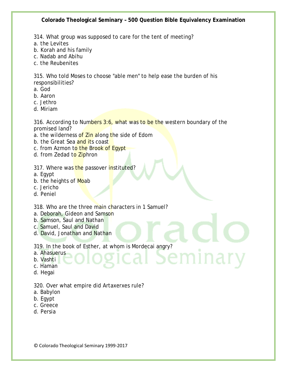314. What group was supposed to care for the tent of meeting?

- a. the Levites
- b. Korah and his family
- c. Nadab and Abihu
- c. the Reubenites

315. Who told Moses to choose "able men" to help ease the burden of his responsibilities?

- a. God
- b. Aaron
- c. Jethro
- d. Miriam

316. According to Numbers 3:6, what was to be the western boundary of the promised land?

emina.

- a. the wilderness of Zin along the side of Edom
- b. the Great Sea and its coast
- c. from Azmon to the Brook of Egypt
- d. from Zedad to Ziphron

317. Where was the passover instituted?

- a. Egypt
- b. the heights of Moab
- c. Jericho
- d. Peniel

318. Who are the three main characters in 1 Samuel?

- a. Deborah, Gideon and Samson
- b. Samson, Saul and Nathan
- c. Samuel, Saul and David
- d. David, Jonathan and Nathan

319. In the book of Esther, at whom is Mordecai angry?

- a. Ahasuerus
- b. Vashti
- c. Haman
- d. Hegai

### 320. Over what empire did Artaxerxes rule?

- a. Babylon
- b. Egypt
- c. Greece
- d. Persia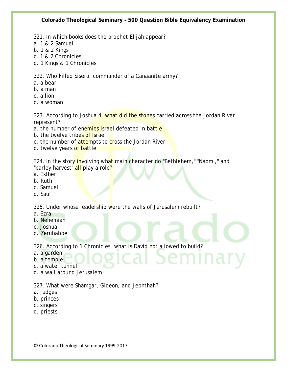321. In which books does the prophet Elijah appear?

- a. 1 & 2 Samuel
- b. 1 & 2 Kings
- c. 1 & 2 Chronicles
- d. 1 Kings & 1 Chronicles

322. Who killed Sisera, commander of a Canaanite army?

- a. a bear
- b. a man
- c. a lion
- d. a woman

323. According to Joshua 4, what did the stones carried across the Jordan River represent?

- a. the number of enemies Israel defeated in battle
- b. the twelve tribes of Israel
- c. the number of attempts to cross the Jordan River
- d. twelve years of battle

324. In the story involving what main character do "Bethlehem," "Naomi," and "barley harvest" all play a role?

- a. Esther
- b. Ruth
- c. Samuel
- d. Saul

325. Under whose leadership were the walls of Jerusalem rebuilt?

- a. Ezra
- b. Nehemiah
- c. Joshua
- d. Zerubabbel

326. According to 1 Chronicles, what is David not allowed to build?

บเท

- a. a garden
- b. a temple
- c. a water tunnel
- d. a wall around Jerusalem

327. What were Shamgar, Gideon, and Jephthah?

- a. judges
- b. princes
- c. singers
- d. priests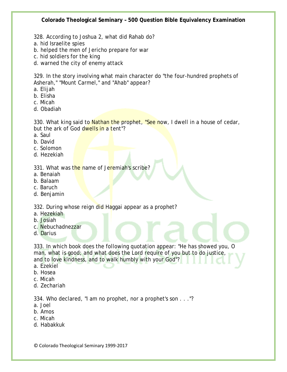- 328. According to Joshua 2, what did Rahab do?
- a. hid Israelite spies
- b. helped the men of Jericho prepare for war
- c. hid soldiers for the king
- d. warned the city of enemy attack

329. In the story involving what main character do "the four-hundred prophets of Asherah," "Mount Carmel," and "Ahab" appear?

- a. Elijah
- b. Elisha
- c. Micah
- d. Obadiah

330. What king said to Nathan the prophet, "See now, I dwell in a house of cedar, but the ark of God dwells in a tent"?

- a. Saul
- b. David
- c. Solomon
- d. Hezekiah

331. What was the name of Jeremiah's scribe?

- a. Benaiah
- b. Balaam
- c. Baruch
- d. Benjamin

332. During whose reign did Haggai appear as a prophet?

- a. Hezekiah
- b. Josiah
- c. Nebuchadnezzar
- d. Darius

333. In which book does the following quotation appear: "He has showed you, O man, what is good; and what does the Lord require of you but to do justice, and to love kindness, and to walk humbly with your God"?

- a. Ezekiel
- b. Hosea
- c. Micah
- d. Zechariah

334. Who declared, "I am no prophet, nor a prophet's son . . ."?

- a. Joel
- b. Amos
- c. Micah
- d. Habakkuk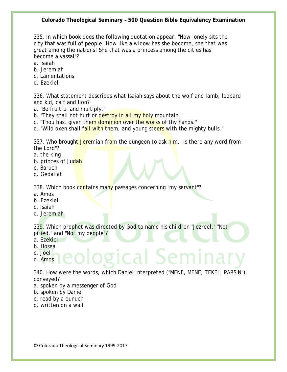335. In which book does the following quotation appear: "How lonely sits the city that was full of people! How like a widow has she become, she that was great among the nations! She that was a princess among the cities has become a vassal"?

- a. Isaiah
- b. Jeremiah
- c. Lamentations
- d. Ezekiel

336. What statement describes what Isaiah says about the wolf and lamb, leopard and kid, calf and lion?

- a. "Be fruitful and multiply."
- b. "They shall not hurt or destroy in all my holy mountain."
- c. "Thou hast given them dominion over the works of thy hands."
- d. "Wild oxen shall fall with them, and young steers with the mighty bulls."

337. Who brought Jeremiah from the dungeon to ask him, "Is there any word from the Lord"?

- a. the king
- b. princes of Judah
- c. Baruch
- d. Gedaliah

338. Which book contains many passages concerning "my servant"?

- a. Amos
- b. Ezekiel
- c. Isaiah
- d. Jeremiah

339. Which prophet was directed by God to name his children "Jezreel," "Not pitied," and "Not my people"?

- a. Ezekiel
- b. Hosea
- c. Joel
- d. Amos

340. How were the words, which Daniel interpreted ("MENE, MENE, TEKEL, PARSIN"), conveyed?

ical Se

- a. spoken by a messenger of God
- b. spoken by Daniel
- c. read by a eunuch
- d. written on a wall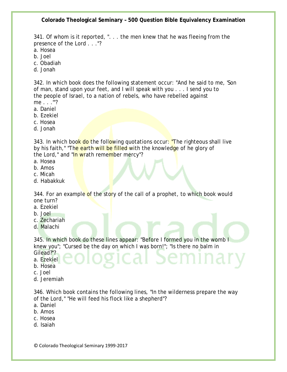341. Of whom is it reported, ". . . the men knew that he was fleeing from the presence of the Lord . . ."?

- a. Hosea
- b. Joel
- c. Obadiah
- d. Jonah

342. In which book does the following statement occur: "And he said to me, 'Son of man, stand upon your feet, and I will speak with you . . . I send you to the people of Israel, to a nation of rebels, who have rebelled against me . . .'"?

- a. Daniel
- b. Ezekiel
- c. Hosea
- d. Jonah

343. In which book do the following quotations occur: "The righteous shall live by his faith," "The earth will be filled with the knowledge of he glory of the Lord," and "In wrath remember mercy"?

- a. Hosea
- b. Amos
- c. Micah
- d. Habakkuk

344. For an example of the story of the call of a prophet, to which book would one turn?

- a. Ezekiel
- b. Joel
- c. Zechariah
- d. Malachi

345. In which book do these lines appear: "Before I formed you in the womb I knew you"; "Cursed be the day on which I was born!"; "Is there no balm in Gilead?"?

a. Ezekiel

- b. Hosea
- 
- c. Joel
- d. Jeremiah

346. Which book contains the following lines, "In the wilderness prepare the way of the Lord," "He will feed his flock like a shepherd"?

- a. Daniel
- b. Amos
- c. Hosea
- d. Isaiah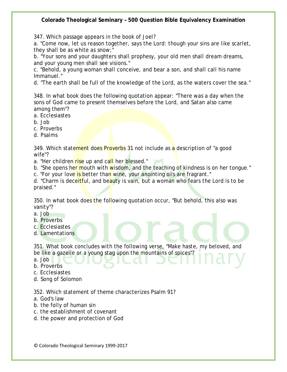347. Which passage appears in the book of Joel?

a. "Come now, let us reason together, says the Lord: though your sins are like scarlet, they shall be as white as snow;"

b. "Your sons and your daughters shall prophesy, your old men shall dream dreams, and your young men shall see visions."

c. "Behold, a young woman shall conceive, and bear a son, and shall call his name Immanuel."

d. "The earth shall be full of the knowledge of the Lord, as the waters cover the sea."

348. In what book does the following quotation appear: "There was a day when the sons of God came to present themselves before the Lord, and Satan also came among them"?

- a. Ecclesiastes
- b. Job
- c. Proverbs
- d. Psalms

349. Which statement does Proverbs 31 not include as a description of "a good wife"?

a. "Her children rise up and call her blessed."

b. "She opens her mouth with wisdom, and the teaching of kindness is on her tongue."

c. "For your love is better than wine, your anointing oils are fragrant."

d. "Charm is deceitful, and beauty is vain, but a woman who fears the Lord is to be praised."

350. In what book does the following quotation occur, "But behold, this also was vanity"?

- a. Job
- b. Proverbs
- c. Ecclesiastes
- d. Lamentations

351. What book concludes with the following verse, "Make haste, my beloved, and be like a gazelle or a young stag upon the mountains of spices"?

a. Job

b. Proverbs

- c. Ecclesiastes
- d. Song of Solomon

352. Which statement of theme characterizes Psalm 91?

- a. God's law
- b. the folly of human sin
- c. the establishment of covenant
- d. the power and protection of God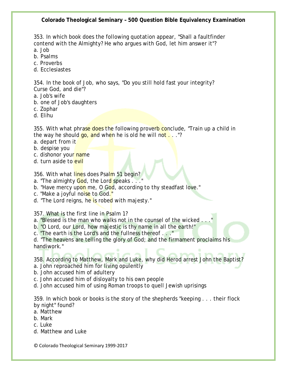353. In which book does the following quotation appear, "Shall a faultfinder contend with the Almighty? He who argues with God, let him answer it"?

a. Job

- b. Psalms
- c. Proverbs
- d. Ecclesiastes

354. In the book of Job, who says, "Do you still hold fast your integrity? Curse God, and die"?

- a. Job's wife
- b. one of Job's daughters
- c. Zophar
- d. Elihu

355. With what phrase does the following proverb conclude, "Train up a child in the way he should  $q_0$ , and when he is old he will not  $\ldots$ ."?

- a. depart from it
- b. despise you
- c. dishonor your name
- d. turn aside to evil

356. With what lines does Psalm 51 begin?

- a. "The almighty God, the Lord speaks . . ."
- b. "Have mercy upon me, O God, according to thy steadfast love."
- c. "Make a joyful noise to God."
- d. "The Lord reigns, he is robed with majesty."

357. What is the first line in Psalm 1?

a. "Blessed is the man who walks not in the counsel of the wicked.

b. "O Lord, our Lord, how majestic is thy name in all the earth!"

c. "The earth is the Lord's and the fullness thereof . . ."

d. "The heavens are telling the glory of God; and the firmament proclaims his handiwork."

358. According to Matthew, Mark and Luke, why did Herod arrest John the Baptist?

a. John reproached him for living opulently

b. John accused him of adultery

- c. John accused him of disloyalty to his own people
- d. John accused him of using Roman troops to quell Jewish uprisings

359. In which book or books is the story of the shepherds "keeping . . . their flock by night" found?

- a. Matthew
- b. Mark
- c. Luke
- d. Matthew and Luke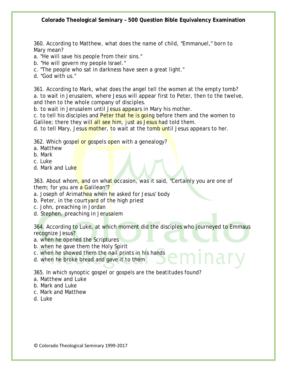360. According to Matthew, what does the name of child, "Emmanuel," born to Mary mean?

a. "He will save his people from their sins."

- b. "He will govern my people Israel."
- c. "The people who sat in darkness have seen a great light."
- d. "God with us."

361. According to Mark, what does the angel tell the women at the empty tomb? a. to wait in Jerusalem, where Jesus will appear first to Peter, then to the twelve, and then to the whole company of disciples.

b. to wait in Jerusalem until Jesus appears in Mary his mother.

c. to tell his disciples and Peter that he is going before them and the women to Galilee; there they will all see him, just as Jesus had told them.

d. to tell Mary, Jesus mother, to wait at the tomb until Jesus appears to her.

362. Which gospel or gospels open with a genealogy?

- a. Matthew
- b. Mark
- c. Luke
- d. Mark and Luke

363. About whom, and on what occasion, was it said, "Certainly you are one of them; for you are a Galilean"?

a. Joseph of Arimathea when he asked for Jesus' body

- b. Peter, in the courtyard of the high priest
- c. John, preaching in Jordan
- d. Stephen, preaching in Jerusalem

364. According to Luke, at which moment did the disciples who journeyed to Emmaus recognize Jesus?

- a. when he opened the Scriptures
- b. when he gave them the Holy Spirit
- c. when he showed them the nail prints in his hands
- d. when he broke bread and gave it to them

365. In which synoptic gospel or gospels are the beatitudes found?

- a. Matthew and Luke
- b. Mark and Luke
- c. Mark and Matthew
- d. Luke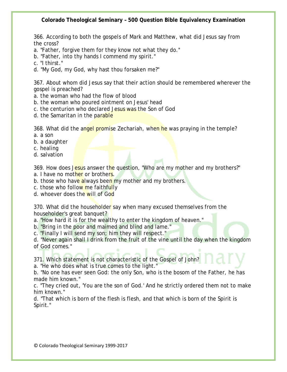366. According to both the gospels of Mark and Matthew, what did Jesus say from the cross?

- a. "Father, forgive them for they know not what they do."
- b. "Father, into thy hands I commend my spirit."
- c. "I thirst."
- d. "My God, my God, why hast thou forsaken me?"

367. About whom did Jesus say that their action should be remembered wherever the gospel is preached?

- a. the woman who had the flow of blood
- b. the woman who poured ointment on Jesus' head
- c. the centurion who declared Jesus was the Son of God
- d. the Samaritan in the parable

368. What did the angel promise Zechariah, when he was praying in the temple? a. a son

- b. a daughter
- c. healing
- d. salvation

369. How does Jesus answer the question, "Who are my mother and my brothers?"

- a. I have no mother or brothers.
- b. those who have always been my mother and my brothers.
- c. those who follow me faithfully
- d. whoever does the will of God

370. What did the householder say when many excused themselves from the householder's great banquet?

a. "How hard it is for the wealthy to enter the kingdom of heaven."

- b. "Bring in the poor and maimed and blind and lame."
- c. "Finally I will send my son; him they will respect."

d. "Never again shall I drink from the fruit of the vine until the day when the kingdom of God comes."

371. Which statement is not characteristic of the Gospel of John?

a. "He who does what is true comes to the light."

b. "No one has ever seen God: the only Son, who is the bosom of the Father, he has made him known."

c. "They cried out, 'You are the son of God.' And he strictly ordered them not to make him known."

d. "That which is born of the flesh is flesh, and that which is born of the Spirit is Spirit."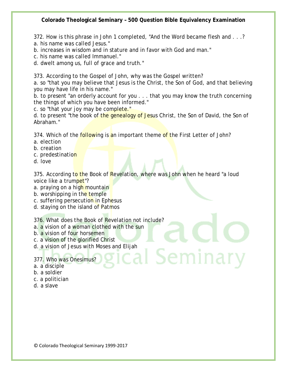372. How is this phrase in John 1 completed, "And the Word became flesh and . . .? a. his name was called Jesus."

b. increases in wisdom and in stature and in favor with God and man."

c. his name was called Immanuel."

d. dwelt among us, full of grace and truth."

373. According to the Gospel of John, why was the Gospel written?

a. so "that you may believe that Jesus is the Christ, the Son of God, and that believing you may have life in his name."

b. to present "an orderly account for you . . . that you may know the truth concerning the things of which you have been informed."

c. so "that your joy may be complete."

d. to present "the book of the genealogy of Jesus Christ, the Son of David, the Son of Abraham."

374. Which of the **following is an important theme of the First Letter of John?** 

- a. election
- b. creation
- c. predestination
- d. love

375. According to the Book of Revelation, where was John when he heard "a loud voice like a trumpet"?

Seminary

- a. praying on a high mountain
- b. worshipping in the temple
- c. suffering persecution in Ephesus
- d. staying on the island of Patmos

376. What does the Book of Revelation not include?

- a. a vision of a woman clothed with the sun
- b. a vision of four horsemen
- c. a vision of the glorified Christ
- d. a vision of Jesus with Moses and Elijah

377. Who was Onesimus?

- a. a disciple
- b. a soldier
- c. a politician
- d. a slave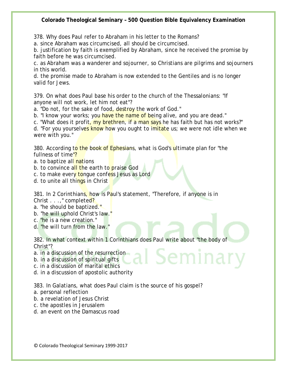378. Why does Paul refer to Abraham in his letter to the Romans?

a. since Abraham was circumcised, all should be circumcised.

b. justification by faith is exemplified by Abraham, since he received the promise by faith before he was circumcised.

c. as Abraham was a wanderer and sojourner, so Christians are pilgrims and sojourners in this world.

d. the promise made to Abraham is now extended to the Gentiles and is no longer valid for Jews.

379. On what does Paul base his order to the church of the Thessalonians: "If anyone will not work, let him not eat"?

a. "Do not, for the sake of food, destroy the work of God."

b. "I know your works; you have the name of being alive, and you are dead."

c. "What does it profit, my brethren, if a man says he has faith but has not works?"

d. "For you yourselves know how you ought to imitate us; we were not idle when we were with you."

380. According to the book of Ephesians, what is God's ultimate plan for "the fullness of time"?

a. to baptize all nations

b. to convince all the earth to praise God

c. to make every tongue confess Jesus as Lord

d. to unite all things in Christ

381. In 2 Corinthians, how is Paul's statement, "Therefore, if anyone is in Christ . . . ," completed?

a. "he should be baptized."

b. "he will uphold Christ's law."

c. "he is a new creation."

d. "he will turn from the law."

382. In what context within 1 Corinthians does Paul write about "the body of Christ"? I Semina

a. in a discussion of the resurrection

b. in a discussion of spiritual gifts

c. in a discussion of marital ethics

d. in a discussion of apostolic authority

383. In Galatians, what does Paul claim is the source of his gospel?

- a. personal reflection
- b. a revelation of Jesus Christ
- c. the apostles in Jerusalem
- d. an event on the Damascus road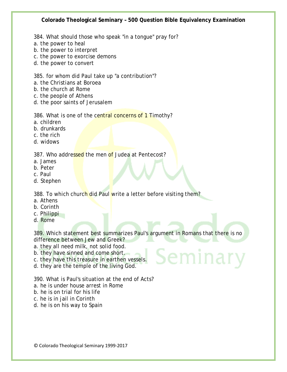- 384. What should those who speak "in a tongue" pray for?
- a. the power to heal
- b. the power to interpret
- c. the power to exorcise demons
- d. the power to convert

385. for whom did Paul take up "a contribution"?

- a. the Christians at Boroea
- b. the church at Rome
- c. the people of Athens
- d. the poor saints of Jerusalem

386. What is one of the central concerns of 1 Timothy?

- a. children
- b. drunkards
- c. the rich
- d. widows

387. Who addressed the men of Judea at Pentecost?

- a. James
- b. Peter
- c. Paul
- d. Stephen

388. To which church did Paul write a letter before visiting them?

- a. Athens
- b. Corinth
- c. Philippi
- d. Rome

389. Which statement best summarizes Paul's argument in Romans that there is no difference between Jew and Greek?

Seminai

- a. they all need milk, not solid food.
- b. they have sinned and come short.
- c. they have this treasure in earthen vessels.
- d. they are the temple of the living God.

390. What is Paul's situation at the end of Acts?

- a. he is under house arrest in Rome
- b. he is on trial for his life
- c. he is in jail in Corinth
- d. he is on his way to Spain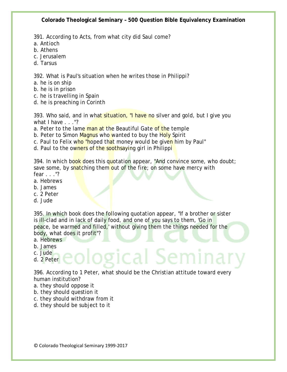391. According to Acts, from what city did Saul come?

- a. Antioch
- b. Athens
- c. Jerusalem
- d. Tarsus

392. What is Paul's situation when he writes those in Philippi?

- a. he is on ship
- b. he is in prison
- c. he is travelling in Spain
- d. he is preaching in Corinth

393. Who said, and in what situation, "I have no silver and gold, but I give you what I have . . . "?

- a. Peter to the lame man at the Beautiful Gate of the temple
- b. Peter to Simon Magnus who wanted to buy the Holy Spirit
- c. Paul to Felix who "hoped that money would be given him by Paul"
- d. Paul to the owners of the soothsaying girl in Philippi

394. In which book does this quotation appear, "And convince some, who doubt; save some, by snatching them out of the fire; on some have mercy with fear . . ."?

- a. Hebrews
- b. James
- c. 2 Peter
- d. Jude

395. In which book does the following quotation appear, "If a brother or sister is ill-clad and in lack of daily food, and one of you says to them, 'Go in peace, be warmed and filled,' without giving them the things needed for the body, what does it profit"?

- a. Hebrews
- b. James
- c. Jude
- d. 2 Peter

396. According to 1 Peter, what should be the Christian attitude toward every human institution?

zical Se

- a. they should oppose it
- b. they should question it
- c. they should withdraw from it
- d. they should be subject to it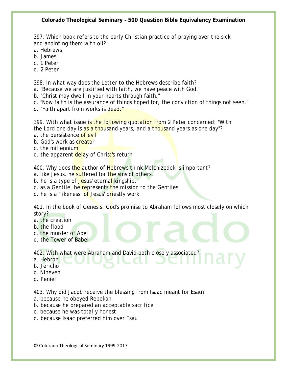397. Which book refers to the early Christian practice of praying over the sick and anointing them with oil?

- a. Hebrews
- b. James
- c. 1 Peter
- d. 2 Peter

398. In what way does the Letter to the Hebrews describe faith?

a. "Because we are justified with faith, we have peace with God."

- b. "Christ may dwell in your hearts through faith."
- c. "Now faith is the assurance of things hoped for, the conviction of things not seen."
- d. "Faith apart from works is dead."

399. With what issue is the following quotation from 2 Peter concerned: "With the Lord one day is as a thousand years, and a thousand years as one day"?

- a. the persistence of evil
- b. God's work as **creator**
- c. the millennium
- d. the apparent delay of Christ's return

400. Why does the author of Hebrews think Melchizedek is important?

- a. like Jesus, he suffered for the sins of others.
- b. he is a type of Jesus' eternal kingship.
- c. as a Gentile, he represents the mission to the Gentiles.
- d. he is a "likeness" of Jesus' priestly work.

401. In the book of Genesis, God's promise to Abraham follows most closely on which story?

- a. the creation
- b. the flood
- c. the murder of Abel
- d. the Tower of Babel

402. With what were Abraham and David both closely associated?

- a. Hebron
- b. Jericho
- c. Nineveh
- d. Peniel

403. Why did Jacob receive the blessing from Isaac meant for Esau?

- a. because he obeyed Rebekah
- b. because he prepared an acceptable sacrifice
- c. because he was totally honest
- d. because Isaac preferred him over Esau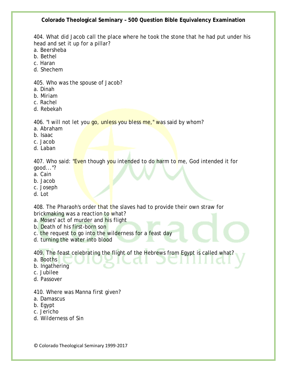404. What did Jacob call the place where he took the stone that he had put under his head and set it up for a pillar?

- a. Beersheba
- b. Bethel
- c. Haran
- d. Shechem

405. Who was the spouse of Jacob?

- a. Dinah
- b. Miriam
- c. Rachel
- d. Rebekah

406. "I will not let you go, unless you bless me," was said by whom?

- a. Abraham
- b. Isaac
- c. Jacob
- d. Laban

407. Who said: "Even though you intended to do harm to me, God intended it for good..."?

- a. Cain
- b. Jacob
- c. Joseph
- d. Lot

408. The Pharaoh's order that the slaves had to provide their own straw for brickmaking was a reaction to what?

- a. Moses' act of murder and his flight
- b. Death of his first-born son
- c. the request to go into the wilderness for a feast day
- d. turning the water into blood

409. The feast celebrating the flight of the Hebrews from Egypt is called what?

- a. Booths
- b. Ingathering
- c. Jubilee
- d. Passover
- 410. Where was Manna first given?
- a. Damascus
- b. Egypt
- c. Jericho
- d. Wilderness of Sin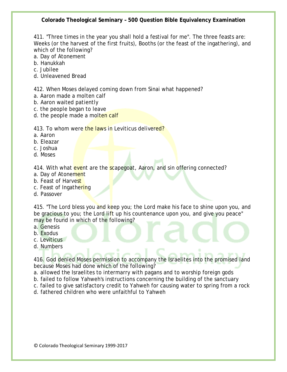411. "Three times in the year you shall hold a festival for me". The three feasts are: Weeks (or the harvest of the first fruits), Booths (or the feast of the ingathering), and which of the following?

- a. Day of Atonement
- b. Hanukkah
- c. Jubilee
- d. Unleavened Bread

412. When Moses delayed coming down from Sinai what happened?

- a. Aaron made a molten calf
- b. Aaron waited patiently
- c. the people began to leave
- d. the people made a molten calf

413. To whom were the laws in Leviticus delivered?

- a. Aaron
- b. Eleazar
- c. Joshua
- d. Moses

414. With what event are the scapegoat, Aaron, and sin offering connected?

- a. Day of Atonement
- b. Feast of Harvest
- c. Feast of Ingathering
- d. Passover

415. "The Lord bless you and keep you; the Lord make his face to shine upon you, and be gracious to you; the Lord lift up his countenance upon you, and give you peace" may be found in which of the following?

- a. Genesis
- b. Exodus
- c. Leviticus
- d. Numbers

416. God denied Moses permission to accompany the Israelites into the promised land because Moses had done which of the following?

- a. allowed the Israelites to intermarry with pagans and to worship foreign gods
- b. failed to follow Yahweh's instructions concerning the building of the sanctuary
- c. failed to give satisfactory credit to Yahweh for causing water to spring from a rock
- d. fathered children who were unfaithful to Yahweh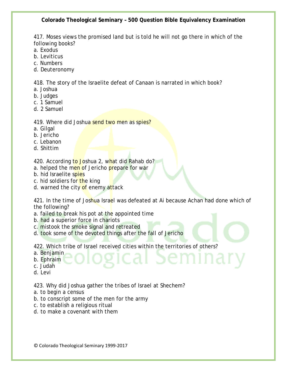417. Moses views the promised land but is told he will not go there in which of the following books?

- a. Exodus
- b. Leviticus
- c. Numbers
- d. Deuteronomy

418. The story of the Israelite defeat of Canaan is narrated in which book?

- a. Joshua
- b. Judges
- c. 1 Samuel
- d. 2 Samuel

# 419. Where did Joshua send two men as spies?

- a. Gilgal
- b. Jericho
- c. Lebanon
- d. Shittim

420. According to Joshua 2, what did Rahab do?

- a. helped the men of Jericho prepare for war
- b. hid Israelite spies
- c. hid soldiers for the king
- d. warned the city of enemy attack

421. In the time of Joshua Israel was defeated at Ai because Achan had done which of the following?

- a. failed to break his pot at the appointed time
- b. had a superior force in chariots
- c. mistook the smoke signal and retreated
- d. took some of the devoted things after the fall of Jericho

422. Which tribe of Israel received cities within the territories of others?

a. Benjamin

b. Ephraim

- c. Judah
- d. Levi

423. Why did Joshua gather the tribes of Israel at Shechem?

- a. to begin a census
- b. to conscript some of the men for the army
- c. to establish a religious ritual
- d. to make a covenant with them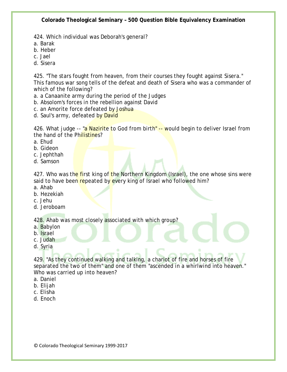424. Which individual was Deborah's general?

- a. Barak
- b. Heber
- c. Jael
- d. Sisera

425. "The stars fought from heaven, from their courses they fought against Sisera." This famous war song tells of the defeat and death of Sisera who was a commander of which of the following?

- a. a Canaanite army during the period of the Judges
- b. Absolom's forces in the rebellion against David
- c. an Amorite force defeated by Joshua
- d. Saul's army, defeated by David

426. What judge -- "a Nazirite to God from birth" -- would begin to deliver Israel from the hand of the Philistines?

- a. Ehud
- b. Gideon
- c. Jephthah
- d. Samson

427. Who was the first king of the Northern Kingdom (Israel), the one whose sins were said to have been repeated by every king of Israel who followed him?

- a. Ahab
- b. Hezekiah
- c. Jehu
- d. Jeroboam

428. Ahab was most closely associated with which group?

- a. Babylon
- b. Israel
- c. Judah
- d. Syria

429. "As they continued walking and talking, a chariot of fire and horses of fire separated the two of them" and one of them "ascended in a whirlwind into heaven." Who was carried up into heaven?

- a. Daniel
- b. Elijah
- c. Elisha
- d. Enoch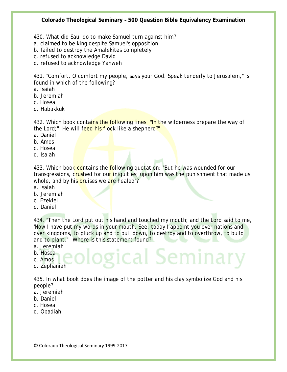430. What did Saul do to make Samuel turn against him?

- a. claimed to be king despite Samuel's opposition
- b. failed to destroy the Amalekites completely
- c. refused to acknowledge David
- d. refused to acknowledge Yahweh

431. "Comfort, O comfort my people, says your God. Speak tenderly to Jerusalem," is found in which of the following?

- a. Isaiah
- b. Jeremiah
- c. Hosea
- d. Habakkuk

432. Which book contains the following lines: "In the wilderness prepare the way of the Lord;" "He will feed his flock like a shepherd?"

- a. Daniel
- b. Amos
- c. Hosea
- d. Isaiah

433. Which book contains the following quotation: "But he was wounded for our transgressions, crushed for our iniquities; upon him was the punishment that made us whole, and by his bruises we are healed"?

- a. Isaiah
- b. Jeremiah
- c. Ezekiel
- d. Daniel

434. "Then the Lord put out his hand and touched my mouth; and the Lord said to me, 'Now I have put my words in your mouth. See, today I appoint you over nations and over kingdoms, to pluck up and to pull down, to destroy and to overthrow, to build and to plant.'" Where is this statement found?

gical Seminaı

- a. Jeremiah
- b. Hosea
- c. Amos
- d. Zephaniah

435. In what book does the image of the potter and his clay symbolize God and his people?

- a. Jeremiah
- b. Daniel
- c. Hosea
- d. Obadiah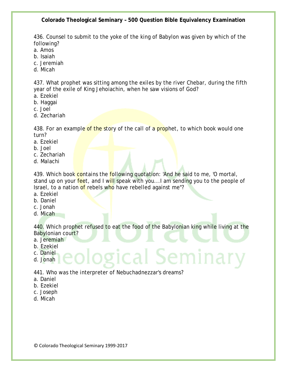436. Counsel to submit to the yoke of the king of Babylon was given by which of the following?

- a. Amos
- b. Isaiah
- c. Jeremiah
- d. Micah

437. What prophet was sitting among the exiles by the river Chebar, during the fifth year of the exile of King Jehoiachin, when he saw visions of God?

- a. Ezekiel
- b. Haggai
- c. Joel
- d. Zechariah

438. For an example of the story of the call of a prophet, to which book would one turn?

- a. Ezekiel
- b. Joel
- c. Zechariah
- d. Malachi

439. Which book contains the **following quotation: 'And he said to me, 'O mortal,** stand up on your feet, and I will speak with you...I am sending you to the people of Israel, to a nation of rebels who have rebelled against me"?

- a. Ezekiel
- b. Daniel
- c. Jonah
- d. Micah

440. Which prophet refused to eat the food of the Babylonian king while living at the Babylonian court?

- a. Jeremiah
- b. Ezekiel
- c. Daniel
- d. Jonah

441. Who was the interpreter of Nebuchadnezzar's dreams?

- a. Daniel
- b. Ezekiel
- c. Joseph
- d. Micah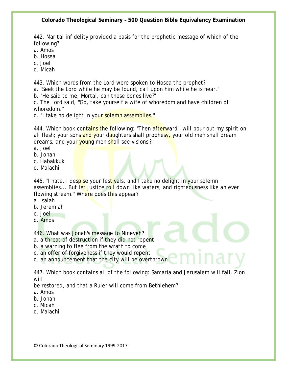442. Marital infidelity provided a basis for the prophetic message of which of the following?

- a. Amos
- b. Hosea
- c. Joel
- d. Micah

443. Which words from the Lord were spoken to Hosea the prophet?

a. "Seek the Lord while he may be found, call upon him while he is near."

b. "He said to me, Mortal, can these bones live?"

c. The Lord said, "Go, take yourself a wife of whoredom and have children of whoredom."

d. "I take no delight in your solemn assemblies."

444. Which book contains the following: "Then afterward I will pour out my spirit on all flesh; your sons and your daughters shall prophesy, your old men shall dream dreams, and your young men shall see visions?

- a. Joel
- b. Jonah
- c. Habakkuk
- d. Malachi

445. "I hate, I despise your festivals, and I take no delight in your solemn assemblies... But let justice roll down like waters, and righteousness like an ever flowing stream." Where does this appear?

- a. Isaiah
- b. Jeremiah
- c. Joel
- d. Amos

446. What was Jonah's message to Nineveh?

- a. a threat of destruction if they did not repent
- b. a warning to flee from the wrath to come
- c. an offer of forgiveness if they would repent
- d. an announcement that the city will be overthrown

447. Which book contains all of the following: Samaria and Jerusalem will fall, Zion will

be restored, and that a Ruler will come from Bethlehem?

- a. Amos
- b. Jonah
- c. Micah
- d. Malachi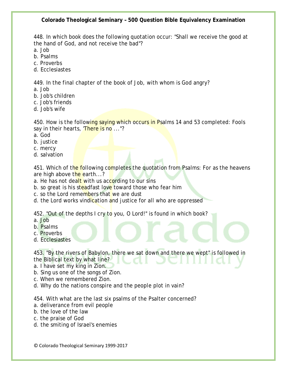448. In which book does the following quotation occur: "Shall we receive the good at the hand of God, and not receive the bad"?

a. Job

- b. Psalms
- c. Proverbs
- d. Ecclesiastes

449. In the final chapter of the book of Job, with whom is God angry?

- a. Job
- b. Job's children
- c. Job's friends
- d. Job's wife

450. How is the following saying which occurs in Psalms 14 and 53 completed: Fools say in their hearts, 'There is no ..."?

- a. God
- b. justice
- c. mercy
- d. salvation

451. Which of the following completes the quotation from Psalms: For as the heavens are high above the earth...?

a. He has not dealt with us according to our sins

- b. so great is his steadfast love toward those who fear him
- c. so the Lord remembers that we are dust
- d. the Lord works vindication and justice for all who are oppressed

452. "Out of the depths I cry to you, O Lord!" is found in which book?

- a. Job
- b. Psalms
- c. Proverbs
- d. Ecclesiastes

453. "By the rivers of Babylon, there we sat down and there we wept" is followed in the Biblical text by what line?

- a. I have set my king in Zion.
- b. Sing us one of the songs of Zion.
- c. When we remembered Zion.
- d. Why do the nations conspire and the people plot in vain?

454. With what are the last six psalms of the Psalter concerned?

- a. deliverance from evil people
- b. the love of the law
- c. the praise of God
- d. the smiting of Israel's enemies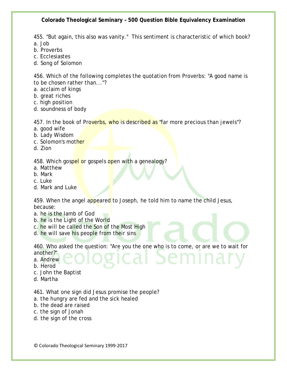455. "But again, this also was vanity." This sentiment is characteristic of which book? a. Job

- b. Proverbs
- c. Ecclesiastes
- d. Song of Solomon

456. Which of the following completes the quotation from Proverbs: "A good name is to be chosen rather than..."?

- a. acclaim of kings
- b. great riches
- c. high position
- d. soundness of body

457. In the book of Proverbs, who is described as "far more precious than jewels"?

- a. good wife
- b. Lady Wisdom
- c. Solomon's mother
- d. Zion

458. Which gospel or gospels open with a genealogy?

- a. Matthew
- b. Mark
- c. Luke
- d. Mark and Luke

459. When the angel appeared to Joseph, he told him to name the child Jesus, because:

- a. he is the Iamb of God
- b. he is the Light of the World
- c. he will be called the Son of the Most High
- d. he will save his people from their sins

460. Who asked the question: "Are you the one who is to come, or are we to wait for

another?" a. Andrew

b. Herod

- c. John the Baptist
- d. Martha

461. What one sign did Jesus promise the people?

- a. the hungry are fed and the sick healed
- b. the dead are raised
- c. the sign of Jonah
- d. the sign of the cross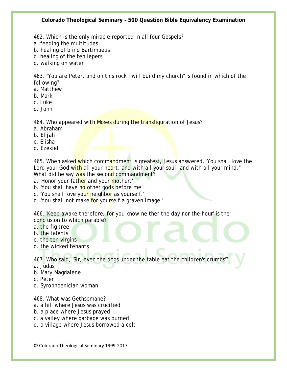- 462. Which is the only miracle reported in all four Gospels?
- a. feeding the multitudes
- b. healing of blind Bartimaeus
- c. healing of the ten lepers
- d. walking on water

463. "You are Peter, and on this rock I will build my church" is found in which of the following?

- a. Matthew
- b. Mark
- c. Luke
- d. John

464. Who appeared with Moses during the transfiguration of Jesus?

- a. Abraham
- b. Elijah
- c. Elisha
- d. Ezekiel

465. When asked which commandment is greatest, Jesus answered, 'You shall love the Lord your God with all your heart, and with all your soul, and with all your mind." What did he say was the second commandment?

- a. 'Honor your father and your mother.'
- b. 'You shall have no other gods before me.'
- c. 'You shall love your neighbor as yourself.'
- d. 'You shall not make for yourself a graven image.'

466. 'Keep awake therefore, for you know neither the day nor the hour' is the conclusion to which parable?

- a. the fig tree
- b. the talents
- c. the ten virgins
- d. the wicked tenants

467. Who said, 'Sir, even the dogs under the table eat the children's crumbs'?

- a. Judas
- b. Mary Magdalene
- c. Peter
- d. Syrophoenician woman

468. What was Gethsemane?

- a. a hill where Jesus was crucified
- b. a place where Jesus prayed
- c. a valley where garbage was burned
- d. a village where Jesus borrowed a colt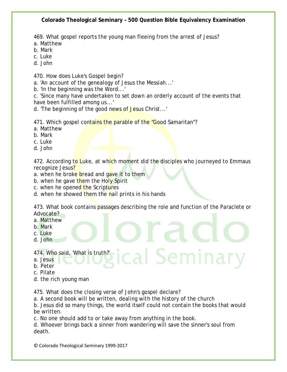469. What gospel reports the young man fleeing from the arrest of Jesus?

- a. Matthew
- b. Mark
- c. Luke
- d. John

470. How does Luke's Gospel begin?

a. 'An account of the genealogy of Jesus the Messiah...'

b. 'In the beginning was the Word...'

c. 'Since many have undertaken to set down an orderly account of the events that have been fulfilled among us...'

d. 'The beginning of the good news of Jesus Christ...'

471. Which gospel contains the parable of the "Good Samaritan"?

- a. Matthew
- b. Mark
- c. Luke
- d. John

472. According to Luke, at which moment did the disciples who journeyed to Emmaus recognize Jesus?

a. when he broke bread and gave it to them

- b. when he gave them the Holy Spirit
- c. when he opened the Scriptures
- d. when he showed them the nail prints in his hands

473. What book contains passages describing the role and function of the Paraclete or Advocate?

ical Seminar

- a. Matthew
- b. Mark
- c. Luke
- d. John

474. Who said, 'What is truth?'

- a. Jesus
- b. Peter
- c. Pilate
- d. the rich young man

475. What does the closing verse of John's gospel declare?

a. A second book will be written, dealing with the history of the church

b. Jesus did so many things, the world itself could not contain the books that would be written.

c. No one should add to or take away from anything in the book.

d. Whoever brings back a sinner from wandering will save the sinner's soul from death.

© Colorado Theological Seminary 1999-2017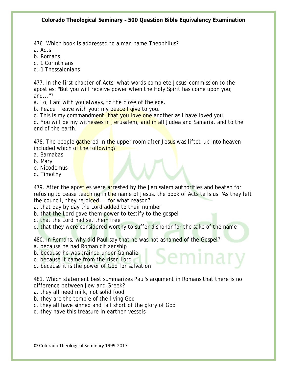476. Which book is addressed to a man name Theophilus?

a. Acts

b. Romans

c. 1 Corinthians

d. 1 Thessalonians

477. In the first chapter of Acts, what words complete Jesus' commission to the apostles: "But you will receive power when the Holy Spirit has come upon you; and..."?

a. Lo, I am with you always, to the close of the age.

b. Peace I leave with you; my peace I give to you.

c. This is my commandment, that you love one another as I have loved you

d. You will be my witnesses in Jerusalem, and in all Judea and Samaria, and to the end of the earth.

478. The people gathered in the upper room after Jesus was lifted up into heaven included which of the following?

- a. Barnabas
- b. Mary
- c. Nicodemus
- d. Timothy

479. After the apostles were arrested by the Jerusalem authorities and beaten for refusing to cease teaching in the name of Jesus, the book of Acts tells us: 'As they left the council, they rejoiced...' for what reason?

a. that day by day the Lord added to their number

- b. that the Lord gave them power to testify to the gospel
- c. that the Lord had set them free

d. that they were considered worthy to suffer dishonor for the sake of the name

480. In Romans, why did Paul say that he was not ashamed of the Gospel? a. because he had Roman citizenship

- b. because he was trained under Gamaliel
- c. because it came from the risen Lord
- d. because it is the power of God for salvation

481. Which statement best summarizes Paul's argument in Romans that there is no difference between Jew and Greek?

- a. they all need milk, not solid food
- b. they are the temple of the living God
- c. they all have sinned and fall short of the glory of God
- d. they have this treasure in earthen vessels

© Colorado Theological Seminary 1999-2017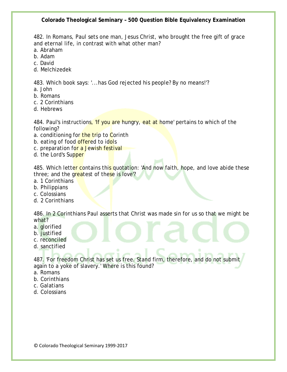482. In Romans, Paul sets one man, Jesus Christ, who brought the free gift of grace and eternal life, in contrast with what other man?

- a. Abraham
- b. Adam
- c. David
- d. Melchizedek

483. Which book says: '...has God rejected his people? By no means!'?

- a. John
- b. Romans
- c. 2 Corinthians
- d. Hebrews

484. Paul's instructions, If you are hungry, eat at home' pertains to which of the following?

- a. conditioning for the trip to Corinth
- b. eating of food offered to idols
- c. preparation for a Jewish festival
- d. the Lord's Supper

485. Which letter contains this quotation: 'And now faith, hope, and love abide these three; and the greatest of these is love?

- a. 1 Corinthians
- b. Philippians
- c. Colossians
- d. 2 Corinthians

486. In 2 Corinthians Paul asserts that Christ was made sin for us so that we might be what?

- a. glorified
- b. justified
- c. reconciled
- d. sanctified

487. 'For freedom Christ has set us free. Stand firm, therefore, and do not submit again to a yoke of slavery.' Where is this found?

- a. Romans
- b. Corinthians
- c. Galatians
- d. Colossians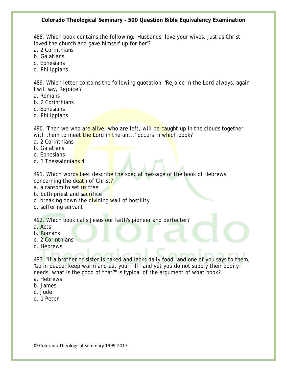488. Which book contains the following: 'Husbands, love your wives, just as Christ loved the church and gave himself up for her'?

- a. 2 Corinthians
- b. Galatians
- c. Ephesians
- d. Philippians

489. Which letter contains the following quotation: 'Rejoice in the Lord always; again I will say, Rejoice'?

- a. Romans
- b. 2 Corinthians
- c. Ephesians
- d. Philippians

490. 'Then we who are alive, who are left, will be caught up in the clouds together with them to meet the Lord in the air...' occurs in which book?

- a. 2 Corinthians
- b. Galatians
- c. Ephesians
- d. 1 Thessalonians 4

491. Which words best describe the special message of the book of Hebrews concerning the death of Christ?

- a. a ransom to set us free
- b. both priest and sacrifice
- c. breaking down the dividing wall of hostility
- d. suffering servant

492. Which book calls Jesus our faith's pioneer and perfecter?

- a. Acts
- b. Romans
- c. 2 Corinthians
- d. Hebrews

493. "If a brother or sister is naked and lacks daily food, and one of you says to them, 'Go in peace; keep warm and eat your fill,' and yet you do not supply their bodily needs, what is the good of that?" is typical of the argument of what book?

- a. Hebrews
- b. James
- c. Jude
- d. 1 Peter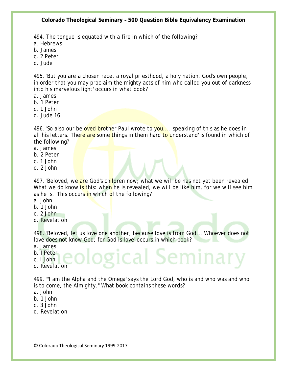494. The tongue is equated with a fire in which of the following?

a. Hebrews

- b. James
- c. 2 Peter
- d. Jude

495. 'But you are a chosen race, a royal priesthood, a holy nation, God's own people, in order that you may proclaim the mighty acts of him who called you out of darkness into his marvelous light' occurs in what book?

- a. James
- b. 1 Peter
- c. 1 John
- d. Jude 16

496. 'So also our beloved brother Paul wrote to you.... speaking of this as he does in all his letters. There are some things in them hard to understand' is found in which of the following?

- a. James
- b. 2 Peter
- c. 1 John
- d. 2 John

497. 'Beloved, we are God's children now; what we will be has not yet been revealed. What we do know is this: when he is revealed, we will be like him, for we will see him as he is.' This occurs in which of the following?

- a. John
- b. 1 John
- c. 2 John
- d. Revelation

498. 'Beloved, let us love one another, because love is from God... Whoever does not love does not know God; for God is love' occurs in which book?

gical Semina

- a. James
- b. I Peter
- c. I John
- d. Revelation

499. "'I am the Alpha and the Omega' says the Lord God, who is and who was and who is to come, the Almighty." What book contains these words?

- a. John
- b. 1 John
- c. 3 John
- d. Revelation